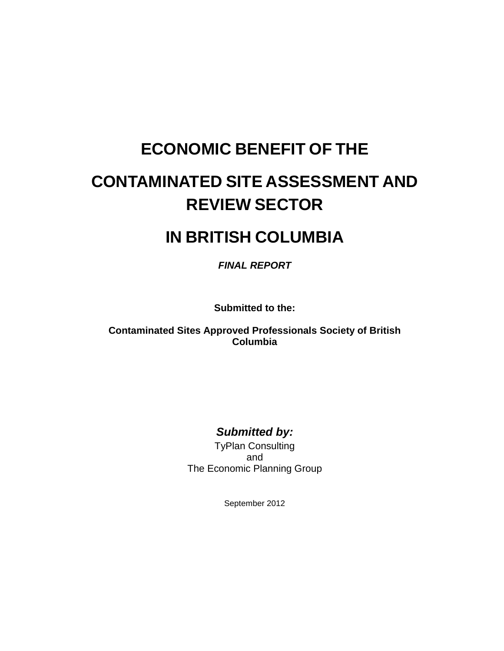# **ECONOMIC BENEFIT OF THE**

# **CONTAMINATED SITE ASSESSMENT AND REVIEW SECTOR**

## **IN BRITISH COLUMBIA**

*FINAL REPORT*

**Submitted to the:**

**Contaminated Sites Approved Professionals Society of British Columbia**

#### *Submitted by:*

TyPlan Consulting and The Economic Planning Group

September 2012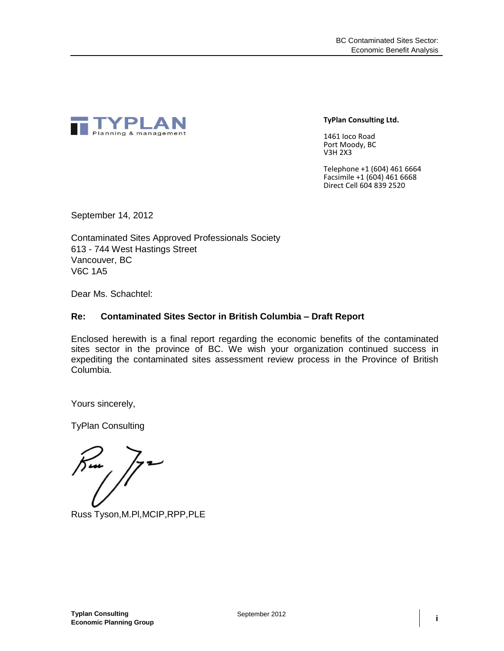

**TyPlan Consulting Ltd.**

1461 Ioco Road Port Moody, BC V3H 2X3

Telephone +1 (604) 461 6664 Facsimile +1 (604) 461 6668 Direct Cell 604 839 2520

September 14, 2012

Contaminated Sites Approved Professionals Society 613 - 744 West Hastings Street Vancouver, BC V6C 1A5

Dear Ms. Schachtel:

#### **Re: Contaminated Sites Sector in British Columbia – Draft Report**

Enclosed herewith is a final report regarding the economic benefits of the contaminated sites sector in the province of BC. We wish your organization continued success in expediting the contaminated sites assessment review process in the Province of British Columbia.

Yours sincerely,

TyPlan Consulting

Russ Tyson,M.Pl,MCIP,RPP,PLE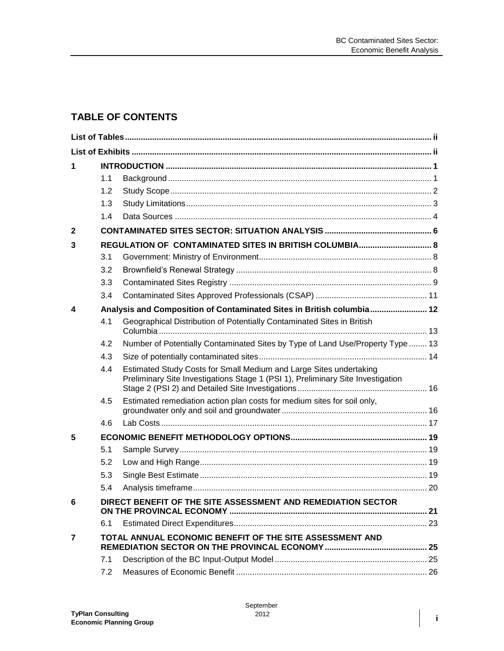#### **TABLE OF CONTENTS**

| 1              |     |                                                                                                                                                       |  |
|----------------|-----|-------------------------------------------------------------------------------------------------------------------------------------------------------|--|
|                | 1.1 |                                                                                                                                                       |  |
|                | 1.2 |                                                                                                                                                       |  |
|                | 1.3 |                                                                                                                                                       |  |
|                | 1.4 |                                                                                                                                                       |  |
| $\mathbf{2}$   |     |                                                                                                                                                       |  |
| 3              |     |                                                                                                                                                       |  |
|                | 3.1 |                                                                                                                                                       |  |
|                | 3.2 |                                                                                                                                                       |  |
|                | 3.3 |                                                                                                                                                       |  |
|                | 3.4 |                                                                                                                                                       |  |
| 4              |     | Analysis and Composition of Contaminated Sites in British columbia 12                                                                                 |  |
|                | 4.1 | Geographical Distribution of Potentially Contaminated Sites in British                                                                                |  |
|                | 4.2 | Number of Potentially Contaminated Sites by Type of Land Use/Property Type  13                                                                        |  |
|                | 4.3 |                                                                                                                                                       |  |
|                | 4.4 | Estimated Study Costs for Small Medium and Large Sites undertaking<br>Preliminary Site Investigations Stage 1 (PSI 1), Preliminary Site Investigation |  |
|                | 4.5 | Estimated remediation action plan costs for medium sites for soil only,                                                                               |  |
|                | 4.6 |                                                                                                                                                       |  |
| 5              |     |                                                                                                                                                       |  |
|                | 5.1 |                                                                                                                                                       |  |
|                | 5.2 |                                                                                                                                                       |  |
|                | 5.3 |                                                                                                                                                       |  |
|                | 5.4 |                                                                                                                                                       |  |
| հ              |     | DIRECT BENEFIT OF THE SITE ASSESSMENT AND REMEDIATION SECTOR                                                                                          |  |
|                | 6.1 |                                                                                                                                                       |  |
| $\overline{7}$ |     | TOTAL ANNUAL ECONOMIC BENEFIT OF THE SITE ASSESSMENT AND                                                                                              |  |
|                | 7.1 |                                                                                                                                                       |  |
|                | 7.2 |                                                                                                                                                       |  |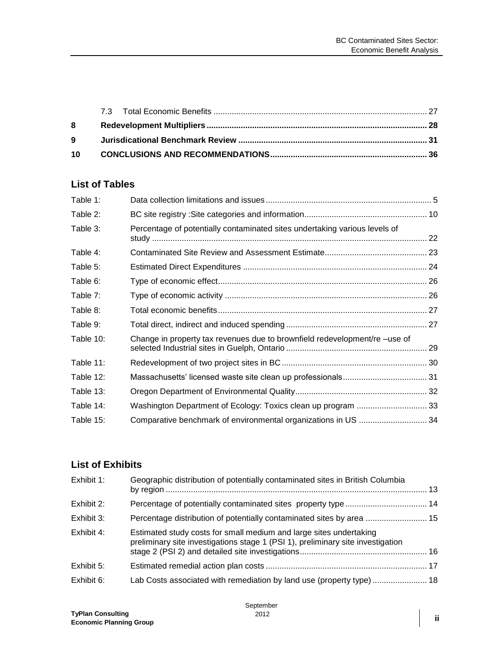#### <span id="page-3-0"></span>**List of Tables**

| Percentage of potentially contaminated sites undertaking various levels of |  |
|----------------------------------------------------------------------------|--|
|                                                                            |  |
|                                                                            |  |
|                                                                            |  |
|                                                                            |  |
|                                                                            |  |
|                                                                            |  |
| Change in property tax revenues due to brownfield redevelopment/re -use of |  |
|                                                                            |  |
|                                                                            |  |
|                                                                            |  |
|                                                                            |  |
|                                                                            |  |
|                                                                            |  |

#### <span id="page-3-1"></span>**List of Exhibits**

| Exhibit 1: | Geographic distribution of potentially contaminated sites in British Columbia                                                                         |  |
|------------|-------------------------------------------------------------------------------------------------------------------------------------------------------|--|
| Exhibit 2: |                                                                                                                                                       |  |
| Exhibit 3: | Percentage distribution of potentially contaminated sites by area  15                                                                                 |  |
| Exhibit 4: | Estimated study costs for small medium and large sites undertaking<br>preliminary site investigations stage 1 (PSI 1), preliminary site investigation |  |
| Exhibit 5: |                                                                                                                                                       |  |
| Exhibit 6: | Lab Costs associated with remediation by land use (property type)  18                                                                                 |  |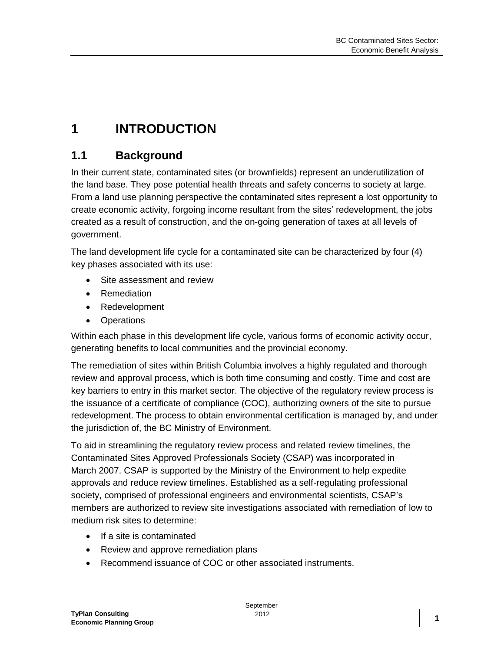## <span id="page-5-0"></span>**1 INTRODUCTION**

### <span id="page-5-1"></span>**1.1 Background**

In their current state, contaminated sites (or brownfields) represent an underutilization of the land base. They pose potential health threats and safety concerns to society at large. From a land use planning perspective the contaminated sites represent a lost opportunity to create economic activity, forgoing income resultant from the sites' redevelopment, the jobs created as a result of construction, and the on-going generation of taxes at all levels of government.

The land development life cycle for a contaminated site can be characterized by four (4) key phases associated with its use:

- Site assessment and review
- Remediation
- Redevelopment
- Operations

Within each phase in this development life cycle, various forms of economic activity occur, generating benefits to local communities and the provincial economy.

The remediation of sites within British Columbia involves a highly regulated and thorough review and approval process, which is both time consuming and costly. Time and cost are key barriers to entry in this market sector. The objective of the regulatory review process is the issuance of a certificate of compliance (COC), authorizing owners of the site to pursue redevelopment. The process to obtain environmental certification is managed by, and under the jurisdiction of, the BC Ministry of Environment.

To aid in streamlining the regulatory review process and related review timelines, the Contaminated Sites Approved Professionals Society (CSAP) was incorporated in March 2007. CSAP is supported by the Ministry of the Environment to help expedite approvals and reduce review timelines. Established as a self-regulating professional society, comprised of professional engineers and environmental scientists, CSAP's members are authorized to review site investigations associated with remediation of low to medium risk sites to determine:

- If a site is contaminated
- Review and approve remediation plans
- Recommend issuance of COC or other associated instruments.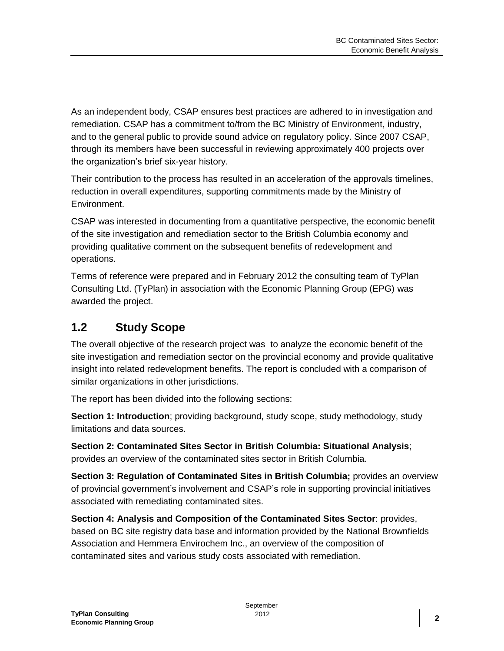As an independent body, CSAP ensures best practices are adhered to in investigation and remediation. CSAP has a commitment to/from the BC Ministry of Environment, industry, and to the general public to provide sound advice on regulatory policy. Since 2007 CSAP, through its members have been successful in reviewing approximately 400 projects over the organization's brief six-year history.

Their contribution to the process has resulted in an acceleration of the approvals timelines, reduction in overall expenditures, supporting commitments made by the Ministry of Environment.

CSAP was interested in documenting from a quantitative perspective, the economic benefit of the site investigation and remediation sector to the British Columbia economy and providing qualitative comment on the subsequent benefits of redevelopment and operations.

Terms of reference were prepared and in February 2012 the consulting team of TyPlan Consulting Ltd. (TyPlan) in association with the Economic Planning Group (EPG) was awarded the project.

#### <span id="page-6-0"></span>**1.2 Study Scope**

The overall objective of the research project was to analyze the economic benefit of the site investigation and remediation sector on the provincial economy and provide qualitative insight into related redevelopment benefits. The report is concluded with a comparison of similar organizations in other jurisdictions.

The report has been divided into the following sections:

**Section 1: Introduction**; providing background, study scope, study methodology, study limitations and data sources.

**Section 2: Contaminated Sites Sector in British Columbia: Situational Analysis**; provides an overview of the contaminated sites sector in British Columbia.

**Section 3: Regulation of Contaminated Sites in British Columbia;** provides an overview of provincial government's involvement and CSAP's role in supporting provincial initiatives associated with remediating contaminated sites.

**Section 4: Analysis and Composition of the Contaminated Sites Sector**: provides, based on BC site registry data base and information provided by the National Brownfields Association and Hemmera Envirochem Inc., an overview of the composition of contaminated sites and various study costs associated with remediation.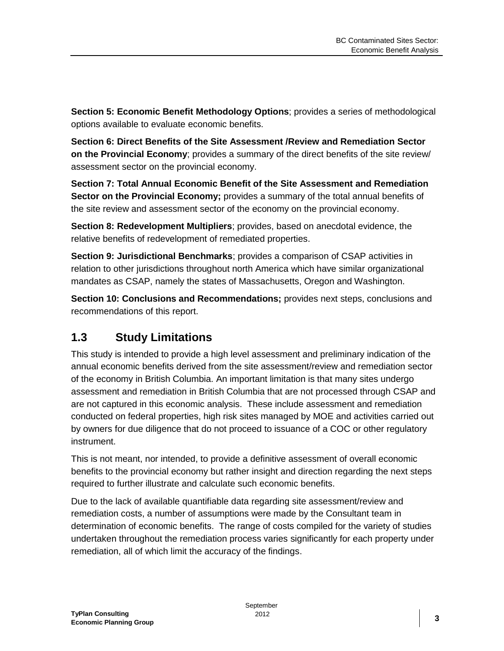**Section 5: Economic Benefit Methodology Options**; provides a series of methodological options available to evaluate economic benefits.

**Section 6: Direct Benefits of the Site Assessment /Review and Remediation Sector on the Provincial Economy**; provides a summary of the direct benefits of the site review/ assessment sector on the provincial economy.

**Section 7: Total Annual Economic Benefit of the Site Assessment and Remediation Sector on the Provincial Economy;** provides a summary of the total annual benefits of the site review and assessment sector of the economy on the provincial economy.

**Section 8: Redevelopment Multipliers**; provides, based on anecdotal evidence, the relative benefits of redevelopment of remediated properties.

**Section 9: Jurisdictional Benchmarks**; provides a comparison of CSAP activities in relation to other jurisdictions throughout north America which have similar organizational mandates as CSAP, namely the states of Massachusetts, Oregon and Washington.

**Section 10: Conclusions and Recommendations;** provides next steps, conclusions and recommendations of this report.

### <span id="page-7-0"></span>**1.3 Study Limitations**

This study is intended to provide a high level assessment and preliminary indication of the annual economic benefits derived from the site assessment/review and remediation sector of the economy in British Columbia. An important limitation is that many sites undergo assessment and remediation in British Columbia that are not processed through CSAP and are not captured in this economic analysis. These include assessment and remediation conducted on federal properties, high risk sites managed by MOE and activities carried out by owners for due diligence that do not proceed to issuance of a COC or other regulatory instrument.

This is not meant, nor intended, to provide a definitive assessment of overall economic benefits to the provincial economy but rather insight and direction regarding the next steps required to further illustrate and calculate such economic benefits.

Due to the lack of available quantifiable data regarding site assessment/review and remediation costs, a number of assumptions were made by the Consultant team in determination of economic benefits. The range of costs compiled for the variety of studies undertaken throughout the remediation process varies significantly for each property under remediation, all of which limit the accuracy of the findings.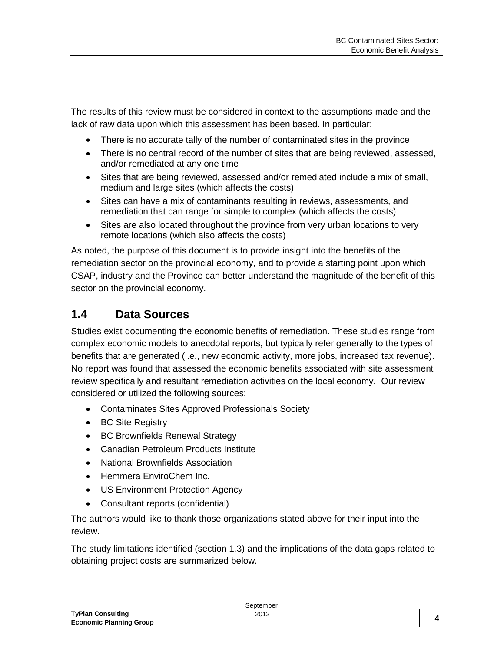The results of this review must be considered in context to the assumptions made and the lack of raw data upon which this assessment has been based. In particular:

- There is no accurate tally of the number of contaminated sites in the province
- There is no central record of the number of sites that are being reviewed, assessed, and/or remediated at any one time
- Sites that are being reviewed, assessed and/or remediated include a mix of small, medium and large sites (which affects the costs)
- Sites can have a mix of contaminants resulting in reviews, assessments, and remediation that can range for simple to complex (which affects the costs)
- Sites are also located throughout the province from very urban locations to very remote locations (which also affects the costs)

As noted, the purpose of this document is to provide insight into the benefits of the remediation sector on the provincial economy, and to provide a starting point upon which CSAP, industry and the Province can better understand the magnitude of the benefit of this sector on the provincial economy.

#### <span id="page-8-0"></span>**1.4 Data Sources**

Studies exist documenting the economic benefits of remediation. These studies range from complex economic models to anecdotal reports, but typically refer generally to the types of benefits that are generated (i.e., new economic activity, more jobs, increased tax revenue). No report was found that assessed the economic benefits associated with site assessment review specifically and resultant remediation activities on the local economy. Our review considered or utilized the following sources:

- Contaminates Sites Approved Professionals Society
- BC Site Registry
- BC Brownfields Renewal Strategy
- Canadian Petroleum Products Institute
- National Brownfields Association
- Hemmera EnviroChem Inc.
- US Environment Protection Agency
- Consultant reports (confidential)

The authors would like to thank those organizations stated above for their input into the review.

The study limitations identified (section 1.3) and the implications of the data gaps related to obtaining project costs are summarized below.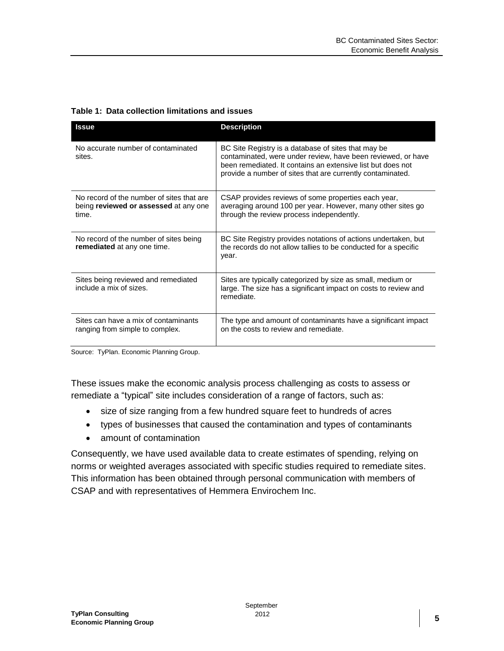<span id="page-9-0"></span>

|  | Table 1: Data collection limitations and issues |  |  |
|--|-------------------------------------------------|--|--|
|--|-------------------------------------------------|--|--|

| <b>Issue</b>                                                                                | <b>Description</b>                                                                                                                                                                                                                               |
|---------------------------------------------------------------------------------------------|--------------------------------------------------------------------------------------------------------------------------------------------------------------------------------------------------------------------------------------------------|
| No accurate number of contaminated<br>sites.                                                | BC Site Registry is a database of sites that may be<br>contaminated, were under review, have been reviewed, or have<br>been remediated. It contains an extensive list but does not<br>provide a number of sites that are currently contaminated. |
| No record of the number of sites that are<br>being reviewed or assessed at any one<br>time. | CSAP provides reviews of some properties each year,<br>averaging around 100 per year. However, many other sites go<br>through the review process independently.                                                                                  |
| No record of the number of sites being<br>remediated at any one time.                       | BC Site Registry provides notations of actions undertaken, but<br>the records do not allow tallies to be conducted for a specific<br>year.                                                                                                       |
| Sites being reviewed and remediated<br>include a mix of sizes.                              | Sites are typically categorized by size as small, medium or<br>large. The size has a significant impact on costs to review and<br>remediate.                                                                                                     |
| Sites can have a mix of contaminants<br>ranging from simple to complex.                     | The type and amount of contaminants have a significant impact<br>on the costs to review and remediate.                                                                                                                                           |

Source: TyPlan. Economic Planning Group.

These issues make the economic analysis process challenging as costs to assess or remediate a "typical" site includes consideration of a range of factors, such as:

- size of size ranging from a few hundred square feet to hundreds of acres
- types of businesses that caused the contamination and types of contaminants
- amount of contamination

Consequently, we have used available data to create estimates of spending, relying on norms or weighted averages associated with specific studies required to remediate sites. This information has been obtained through personal communication with members of CSAP and with representatives of Hemmera Envirochem Inc.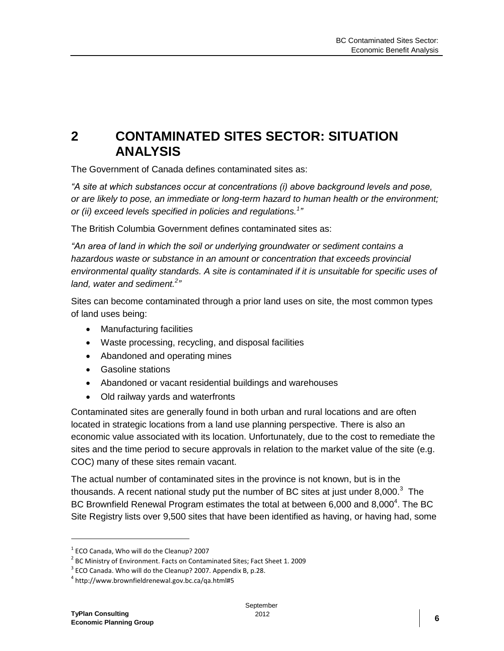## <span id="page-10-0"></span>**2 CONTAMINATED SITES SECTOR: SITUATION ANALYSIS**

The Government of Canada defines contaminated sites as:

*"A site at which substances occur at concentrations (i) above background levels and pose, or are likely to pose, an immediate or long-term hazard to human health or the environment; or (ii) exceed levels specified in policies and regulations.<sup>1</sup> "*

The British Columbia Government defines contaminated sites as:

*"An area of land in which the soil or underlying groundwater or sediment contains a hazardous waste or substance in an amount or concentration that exceeds provincial environmental quality standards. A site is contaminated if it is unsuitable for specific uses of land, water and sediment.<sup>2</sup> "*

Sites can become contaminated through a prior land uses on site, the most common types of land uses being:

- Manufacturing facilities
- Waste processing, recycling, and disposal facilities
- Abandoned and operating mines
- Gasoline stations
- Abandoned or vacant residential buildings and warehouses
- Old railway yards and waterfronts

Contaminated sites are generally found in both urban and rural locations and are often located in strategic locations from a land use planning perspective. There is also an economic value associated with its location. Unfortunately, due to the cost to remediate the sites and the time period to secure approvals in relation to the market value of the site (e.g. COC) many of these sites remain vacant.

The actual number of contaminated sites in the province is not known, but is in the thousands. A recent national study put the number of BC sites at just under 8,000. $3$  The BC Brownfield Renewal Program estimates the total at between 6,000 and 8,000<sup>4</sup>. The BC Site Registry lists over 9,500 sites that have been identified as having, or having had, some

 $\overline{a}$ 

 $<sup>1</sup>$  ECO Canada, Who will do the Cleanup? 2007</sup>

 $^2$  BC Ministry of Environment. Facts on Contaminated Sites; Fact Sheet 1. 2009

 $3$  ECO Canada. Who will do the Cleanup? 2007. Appendix B, p.28.

<sup>4</sup> http://www.brownfieldrenewal.gov.bc.ca/qa.html#5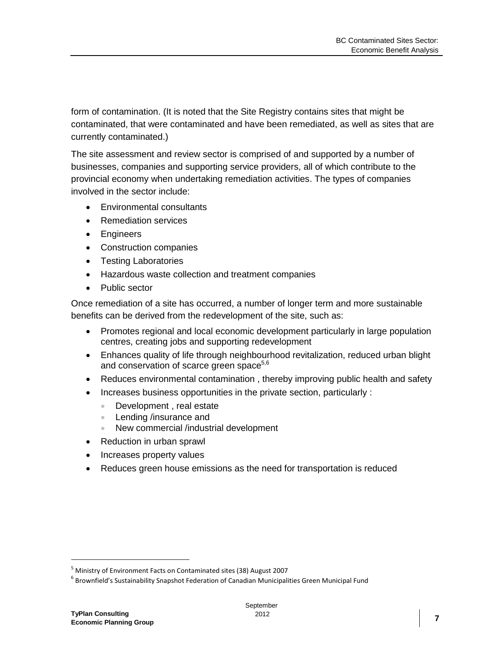form of contamination. (It is noted that the Site Registry contains sites that might be contaminated, that were contaminated and have been remediated, as well as sites that are currently contaminated.)

The site assessment and review sector is comprised of and supported by a number of businesses, companies and supporting service providers, all of which contribute to the provincial economy when undertaking remediation activities. The types of companies involved in the sector include:

- Environmental consultants
- Remediation services
- Engineers
- Construction companies
- Testing Laboratories
- Hazardous waste collection and treatment companies
- Public sector

Once remediation of a site has occurred, a number of longer term and more sustainable benefits can be derived from the redevelopment of the site, such as:

- Promotes regional and local economic development particularly in large population centres, creating jobs and supporting redevelopment
- Enhances quality of life through neighbourhood revitalization, reduced urban blight and conservation of scarce green space<sup>5,6</sup>
- Reduces environmental contamination , thereby improving public health and safety
- Increases business opportunities in the private section, particularly :
	- Development, real estate
	- **Lending /insurance and**
	- New commercial /industrial development
- Reduction in urban sprawl
- Increases property values
- Reduces green house emissions as the need for transportation is reduced

<sup>5</sup> Ministry of Environment Facts on Contaminated sites (38) August 2007

 $^6$  Brownfield's Sustainability Snapshot Federation of Canadian Municipalities Green Municipal Fund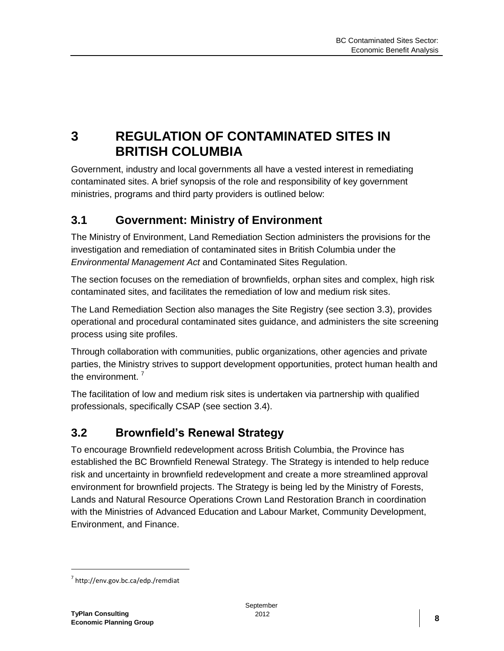## <span id="page-12-0"></span>**3 REGULATION OF CONTAMINATED SITES IN BRITISH COLUMBIA**

Government, industry and local governments all have a vested interest in remediating contaminated sites. A brief synopsis of the role and responsibility of key government ministries, programs and third party providers is outlined below:

#### <span id="page-12-1"></span>**3.1 Government: Ministry of Environment**

The Ministry of Environment, Land Remediation Section administers the provisions for the investigation and remediation of contaminated sites in British Columbia under the *Environmental Management Act* and Contaminated Sites Regulation.

The section focuses on the remediation of brownfields, orphan sites and complex, high risk contaminated sites, and facilitates the remediation of low and medium risk sites.

The Land Remediation Section also manages the Site Registry (see section 3.3), provides operational and procedural contaminated sites guidance, and administers the site screening process using site profiles.

Through collaboration with communities, public organizations, other agencies and private parties, the Ministry strives to support development opportunities, protect human health and the environment.<sup>7</sup>

The facilitation of low and medium risk sites is undertaken via partnership with qualified professionals, specifically CSAP (see section 3.4).

### <span id="page-12-2"></span>**3.2 Brownfield's Renewal Strategy**

To encourage Brownfield redevelopment across British Columbia, the Province has established the BC Brownfield Renewal Strategy. The Strategy is intended to help reduce risk and uncertainty in brownfield redevelopment and create a more streamlined approval environment for brownfield projects. The Strategy is being led by the Ministry of Forests, Lands and Natural Resource Operations Crown Land Restoration Branch in coordination with the Ministries of Advanced Education and Labour Market, Community Development, Environment, and Finance.

<sup>&</sup>lt;sup>7</sup> http://env.gov.bc.ca/edp./remdiat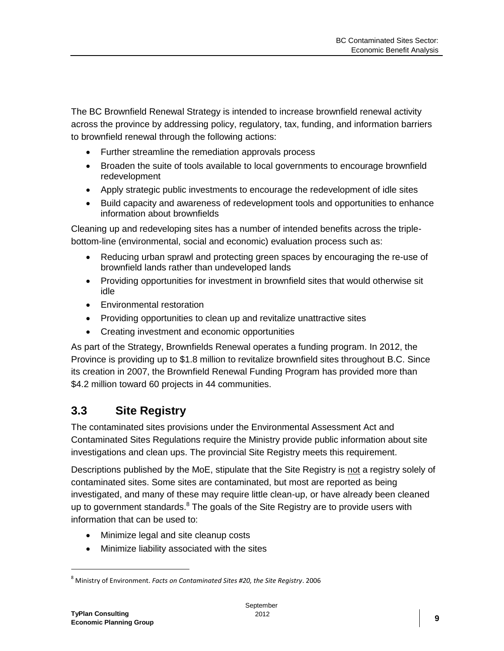The BC Brownfield Renewal Strategy is intended to increase brownfield renewal activity across the province by addressing policy, regulatory, tax, funding, and information barriers to brownfield renewal through the following actions:

- Further streamline the remediation approvals process
- Broaden the suite of tools available to local governments to encourage brownfield redevelopment
- Apply strategic public investments to encourage the redevelopment of idle sites
- Build capacity and awareness of redevelopment tools and opportunities to enhance information about brownfields

Cleaning up and redeveloping sites has a number of intended benefits across the triplebottom-line (environmental, social and economic) evaluation process such as:

- Reducing urban sprawl and protecting green spaces by encouraging the re-use of brownfield lands rather than undeveloped lands
- Providing opportunities for investment in brownfield sites that would otherwise sit idle
- **•** Environmental restoration
- Providing opportunities to clean up and revitalize unattractive sites
- Creating investment and economic opportunities

As part of the Strategy, Brownfields Renewal operates a funding program. In 2012, the Province is providing up to \$1.8 million to revitalize brownfield sites throughout B.C. Since its creation in 2007, the Brownfield Renewal Funding Program has provided more than \$4.2 million toward 60 projects in 44 communities.

### <span id="page-13-0"></span>**3.3 Site Registry**

The contaminated sites provisions under the Environmental Assessment Act and Contaminated Sites Regulations require the Ministry provide public information about site investigations and clean ups. The provincial Site Registry meets this requirement.

Descriptions published by the MoE, stipulate that the Site Registry is not a registry solely of contaminated sites. Some sites are contaminated, but most are reported as being investigated, and many of these may require little clean-up, or have already been cleaned up to government standards.<sup>8</sup> The goals of the Site Registry are to provide users with information that can be used to:

- Minimize legal and site cleanup costs
- Minimize liability associated with the sites

<sup>8</sup> Ministry of Environment. *Facts on Contaminated Sites #20, the Site Registry*. 2006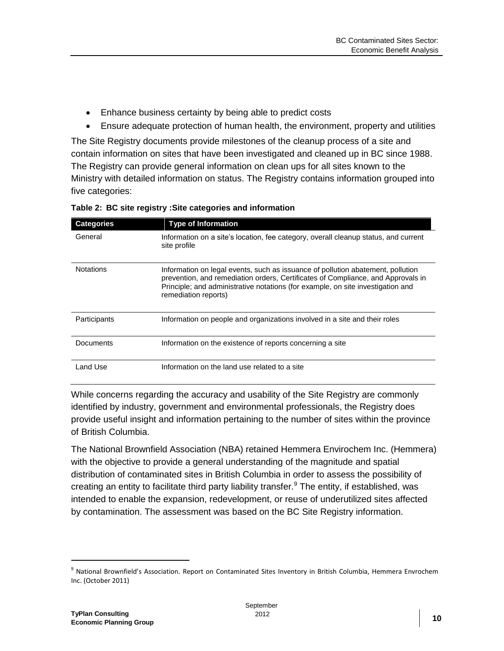- Enhance business certainty by being able to predict costs
- Ensure adequate protection of human health, the environment, property and utilities

The Site Registry documents provide milestones of the cleanup process of a site and contain information on sites that have been investigated and cleaned up in BC since 1988. The Registry can provide general information on clean ups for all sites known to the Ministry with detailed information on status. The Registry contains information grouped into five categories:

| <b>Categories</b> | <b>Type of Information</b>                                                                                                                                                                                                                                                     |
|-------------------|--------------------------------------------------------------------------------------------------------------------------------------------------------------------------------------------------------------------------------------------------------------------------------|
| General           | Information on a site's location, fee category, overall cleanup status, and current<br>site profile                                                                                                                                                                            |
| <b>Notations</b>  | Information on legal events, such as issuance of pollution abatement, pollution<br>prevention, and remediation orders, Certificates of Compliance, and Approvals in<br>Principle; and administrative notations (for example, on site investigation and<br>remediation reports) |
| Participants      | Information on people and organizations involved in a site and their roles                                                                                                                                                                                                     |
| Documents         | Information on the existence of reports concerning a site                                                                                                                                                                                                                      |
| Land Use          | Information on the land use related to a site                                                                                                                                                                                                                                  |

<span id="page-14-0"></span>**Table 2: BC site registry :Site categories and information**

While concerns regarding the accuracy and usability of the Site Registry are commonly identified by industry, government and environmental professionals, the Registry does provide useful insight and information pertaining to the number of sites within the province of British Columbia.

The National Brownfield Association (NBA) retained Hemmera Envirochem Inc. (Hemmera) with the objective to provide a general understanding of the magnitude and spatial distribution of contaminated sites in British Columbia in order to assess the possibility of creating an entity to facilitate third party liability transfer. $9$  The entity, if established, was intended to enable the expansion, redevelopment, or reuse of underutilized sites affected by contamination. The assessment was based on the BC Site Registry information.

 $\overline{a}$ 

<sup>&</sup>lt;sup>9</sup> National Brownfield's Association. Report on Contaminated Sites Inventory in British Columbia, Hemmera Envrochem Inc. (October 2011)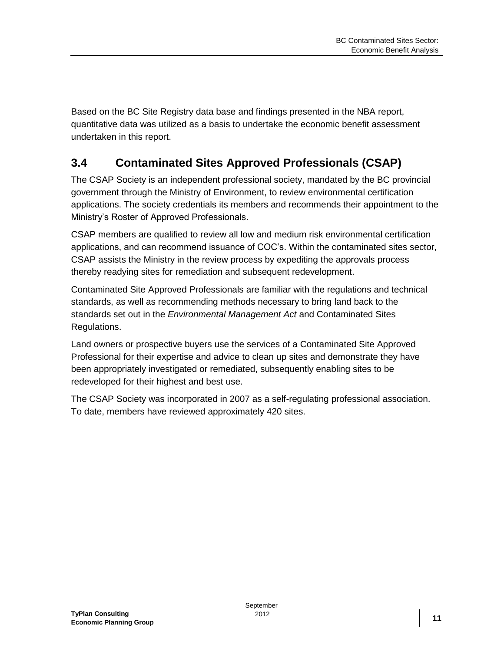Based on the BC Site Registry data base and findings presented in the NBA report, quantitative data was utilized as a basis to undertake the economic benefit assessment undertaken in this report.

### <span id="page-15-0"></span>**3.4 Contaminated Sites Approved Professionals (CSAP)**

The CSAP Society is an independent professional society, mandated by the BC provincial government through the Ministry of Environment, to review environmental certification applications. The society credentials its members and recommends their appointment to the Ministry's Roster of Approved Professionals.

CSAP members are qualified to review all low and medium risk environmental certification applications, and can recommend issuance of COC's. Within the contaminated sites sector, CSAP assists the Ministry in the review process by expediting the approvals process thereby readying sites for remediation and subsequent redevelopment.

Contaminated Site Approved Professionals are familiar with the regulations and technical standards, as well as recommending methods necessary to bring land back to the standards set out in the *Environmental Management Act* and Contaminated Sites Regulations.

Land owners or prospective buyers use the services of a Contaminated Site Approved Professional for their expertise and advice to clean up sites and demonstrate they have been appropriately investigated or remediated, subsequently enabling sites to be redeveloped for their highest and best use.

The CSAP Society was incorporated in 2007 as a self-regulating professional association. To date, members have reviewed approximately 420 sites.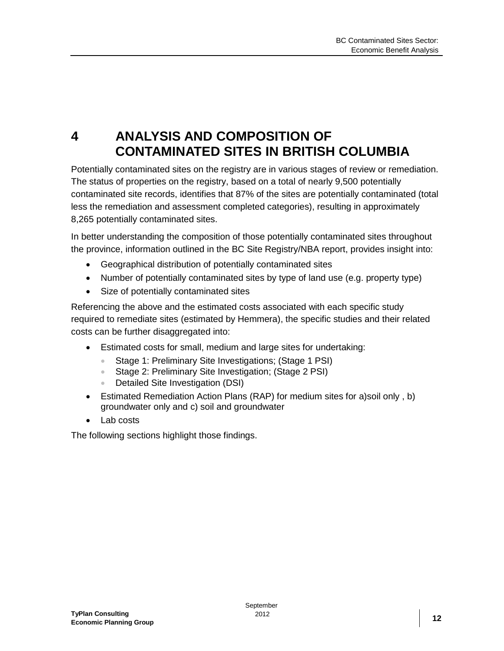## <span id="page-16-0"></span>**4 ANALYSIS AND COMPOSITION OF CONTAMINATED SITES IN BRITISH COLUMBIA**

Potentially contaminated sites on the registry are in various stages of review or remediation. The status of properties on the registry, based on a total of nearly 9,500 potentially contaminated site records, identifies that 87% of the sites are potentially contaminated (total less the remediation and assessment completed categories), resulting in approximately 8,265 potentially contaminated sites.

In better understanding the composition of those potentially contaminated sites throughout the province, information outlined in the BC Site Registry/NBA report, provides insight into:

- Geographical distribution of potentially contaminated sites
- Number of potentially contaminated sites by type of land use (e.g. property type)
- Size of potentially contaminated sites

Referencing the above and the estimated costs associated with each specific study required to remediate sites (estimated by Hemmera), the specific studies and their related costs can be further disaggregated into:

- Estimated costs for small, medium and large sites for undertaking:
	- Stage 1: Preliminary Site Investigations; (Stage 1 PSI)
	- Stage 2: Preliminary Site Investigation; (Stage 2 PSI)
	- Detailed Site Investigation (DSI)
- Estimated Remediation Action Plans (RAP) for medium sites for a)soil only , b) groundwater only and c) soil and groundwater
- Lab costs

The following sections highlight those findings.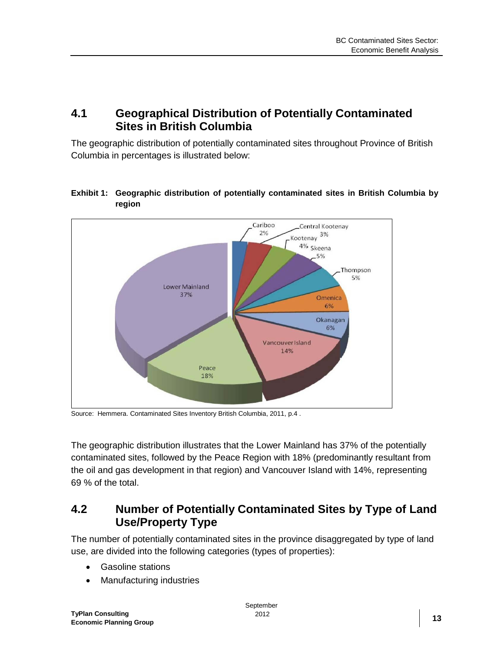#### <span id="page-17-0"></span>**4.1 Geographical Distribution of Potentially Contaminated Sites in British Columbia**

The geographic distribution of potentially contaminated sites throughout Province of British Columbia in percentages is illustrated below:

#### <span id="page-17-2"></span>**Exhibit 1: Geographic distribution of potentially contaminated sites in British Columbia by region**



Source: Hemmera. Contaminated Sites Inventory British Columbia, 2011, p.4 .

The geographic distribution illustrates that the Lower Mainland has 37% of the potentially contaminated sites, followed by the Peace Region with 18% (predominantly resultant from the oil and gas development in that region) and Vancouver Island with 14%, representing 69 % of the total.

#### <span id="page-17-1"></span>**4.2 Number of Potentially Contaminated Sites by Type of Land Use/Property Type**

The number of potentially contaminated sites in the province disaggregated by type of land use, are divided into the following categories (types of properties):

- Gasoline stations
- Manufacturing industries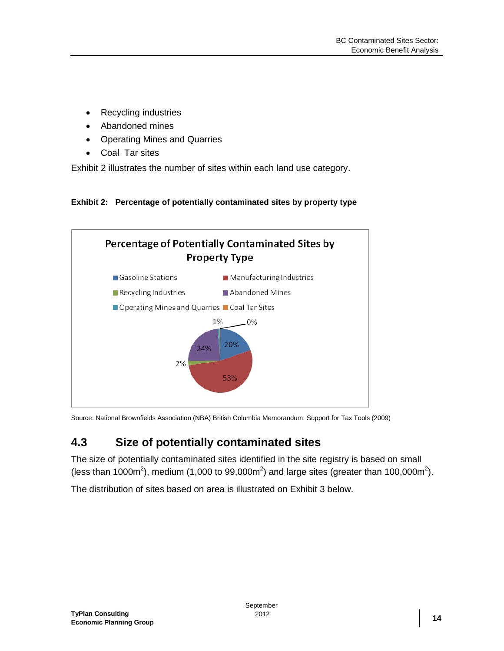- Recycling industries
- Abandoned mines
- Operating Mines and Quarries
- Coal Tar sites

Exhibit 2 illustrates the number of sites within each land use category.

<span id="page-18-1"></span>**Exhibit 2: Percentage of potentially contaminated sites by property type**



Source: National Brownfields Association (NBA) British Columbia Memorandum: Support for Tax Tools (2009)

### <span id="page-18-0"></span>**4.3 Size of potentially contaminated sites**

The size of potentially contaminated sites identified in the site registry is based on small (less than 1000m<sup>2</sup>), medium (1,000 to 99,000m<sup>2</sup>) and large sites (greater than 100,000m<sup>2</sup>).

The distribution of sites based on area is illustrated on Exhibit 3 below.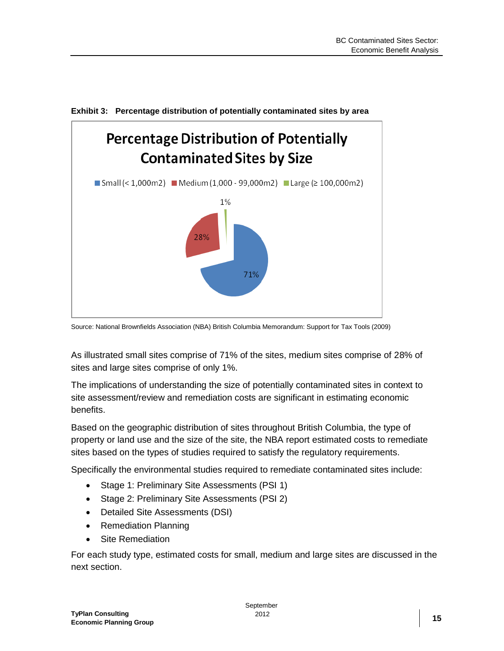

<span id="page-19-0"></span>**Exhibit 3: Percentage distribution of potentially contaminated sites by area**

Source: National Brownfields Association (NBA) British Columbia Memorandum: Support for Tax Tools (2009)

As illustrated small sites comprise of 71% of the sites, medium sites comprise of 28% of sites and large sites comprise of only 1%.

The implications of understanding the size of potentially contaminated sites in context to site assessment/review and remediation costs are significant in estimating economic benefits.

Based on the geographic distribution of sites throughout British Columbia, the type of property or land use and the size of the site, the NBA report estimated costs to remediate sites based on the types of studies required to satisfy the regulatory requirements.

Specifically the environmental studies required to remediate contaminated sites include:

- Stage 1: Preliminary Site Assessments (PSI 1)
- Stage 2: Preliminary Site Assessments (PSI 2)
- Detailed Site Assessments (DSI)
- Remediation Planning
- Site Remediation

For each study type, estimated costs for small, medium and large sites are discussed in the next section.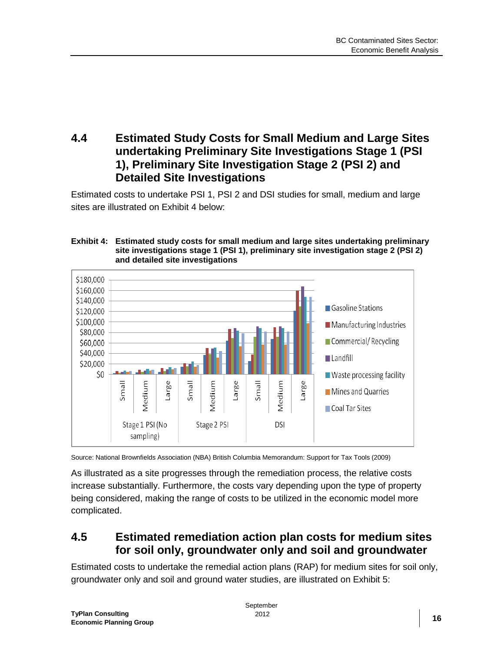#### <span id="page-20-0"></span>**4.4 Estimated Study Costs for Small Medium and Large Sites undertaking Preliminary Site Investigations Stage 1 (PSI 1), Preliminary Site Investigation Stage 2 (PSI 2) and Detailed Site Investigations**

Estimated costs to undertake PSI 1, PSI 2 and DSI studies for small, medium and large sites are illustrated on Exhibit 4 below:

#### <span id="page-20-2"></span>**Exhibit 4: Estimated study costs for small medium and large sites undertaking preliminary site investigations stage 1 (PSI 1), preliminary site investigation stage 2 (PSI 2) and detailed site investigations**



Source: National Brownfields Association (NBA) British Columbia Memorandum: Support for Tax Tools (2009)

As illustrated as a site progresses through the remediation process, the relative costs increase substantially. Furthermore, the costs vary depending upon the type of property being considered, making the range of costs to be utilized in the economic model more complicated.

#### <span id="page-20-1"></span>**4.5 Estimated remediation action plan costs for medium sites for soil only, groundwater only and soil and groundwater**

Estimated costs to undertake the remedial action plans (RAP) for medium sites for soil only, groundwater only and soil and ground water studies, are illustrated on Exhibit 5: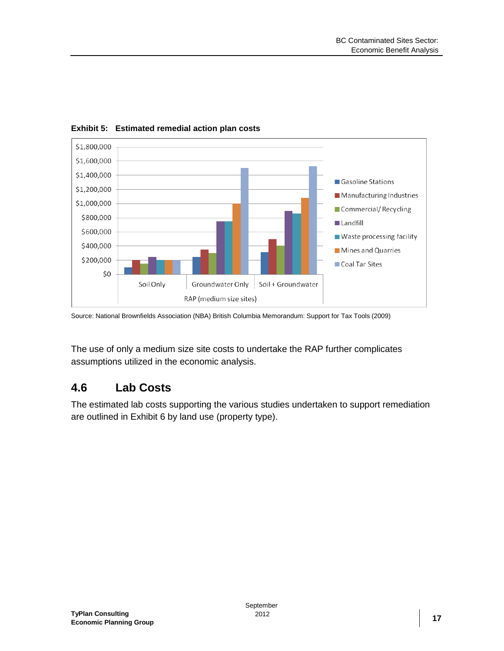

<span id="page-21-1"></span>**Exhibit 5: Estimated remedial action plan costs**

Source: National Brownfields Association (NBA) British Columbia Memorandum: Support for Tax Tools (2009)

The use of only a medium size site costs to undertake the RAP further complicates assumptions utilized in the economic analysis.

#### <span id="page-21-0"></span>**4.6 Lab Costs**

The estimated lab costs supporting the various studies undertaken to support remediation are outlined in Exhibit 6 by land use (property type).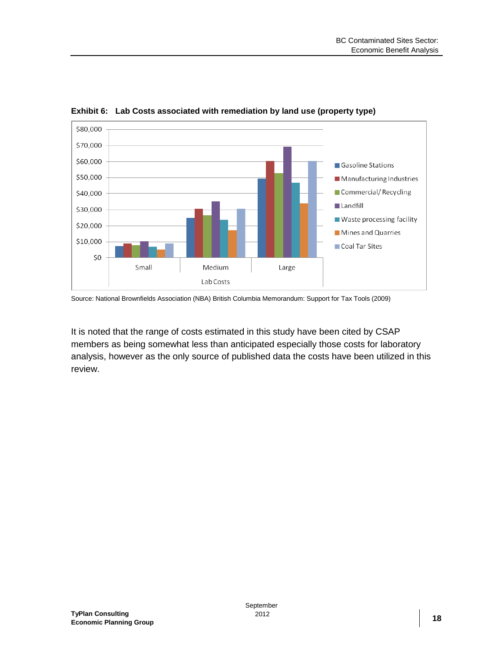

<span id="page-22-0"></span>**Exhibit 6: Lab Costs associated with remediation by land use (property type)**

Source: National Brownfields Association (NBA) British Columbia Memorandum: Support for Tax Tools (2009)

It is noted that the range of costs estimated in this study have been cited by CSAP members as being somewhat less than anticipated especially those costs for laboratory analysis, however as the only source of published data the costs have been utilized in this review.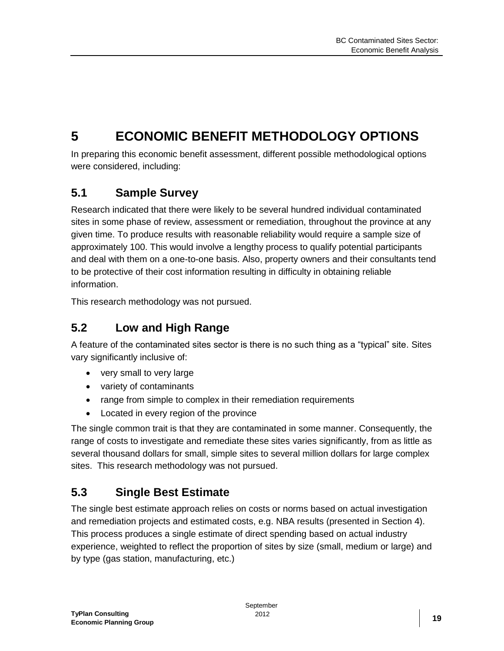## <span id="page-23-0"></span>**5 ECONOMIC BENEFIT METHODOLOGY OPTIONS**

In preparing this economic benefit assessment, different possible methodological options were considered, including:

### <span id="page-23-1"></span>**5.1 Sample Survey**

Research indicated that there were likely to be several hundred individual contaminated sites in some phase of review, assessment or remediation, throughout the province at any given time. To produce results with reasonable reliability would require a sample size of approximately 100. This would involve a lengthy process to qualify potential participants and deal with them on a one-to-one basis. Also, property owners and their consultants tend to be protective of their cost information resulting in difficulty in obtaining reliable information.

This research methodology was not pursued.

### <span id="page-23-2"></span>**5.2 Low and High Range**

A feature of the contaminated sites sector is there is no such thing as a "typical" site. Sites vary significantly inclusive of:

- very small to very large
- variety of contaminants
- range from simple to complex in their remediation requirements
- Located in every region of the province

The single common trait is that they are contaminated in some manner. Consequently, the range of costs to investigate and remediate these sites varies significantly, from as little as several thousand dollars for small, simple sites to several million dollars for large complex sites. This research methodology was not pursued.

### <span id="page-23-3"></span>**5.3 Single Best Estimate**

The single best estimate approach relies on costs or norms based on actual investigation and remediation projects and estimated costs, e.g. NBA results (presented in Section 4). This process produces a single estimate of direct spending based on actual industry experience, weighted to reflect the proportion of sites by size (small, medium or large) and by type (gas station, manufacturing, etc.)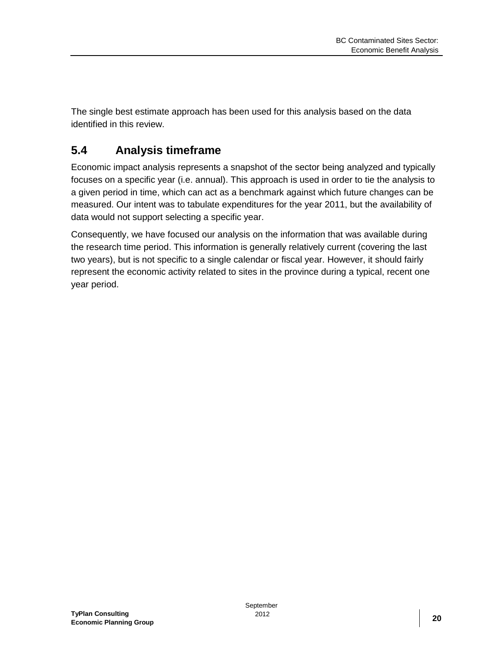The single best estimate approach has been used for this analysis based on the data identified in this review.

## <span id="page-24-0"></span>**5.4 Analysis timeframe**

Economic impact analysis represents a snapshot of the sector being analyzed and typically focuses on a specific year (i.e. annual). This approach is used in order to tie the analysis to a given period in time, which can act as a benchmark against which future changes can be measured. Our intent was to tabulate expenditures for the year 2011, but the availability of data would not support selecting a specific year.

Consequently, we have focused our analysis on the information that was available during the research time period. This information is generally relatively current (covering the last two years), but is not specific to a single calendar or fiscal year. However, it should fairly represent the economic activity related to sites in the province during a typical, recent one year period.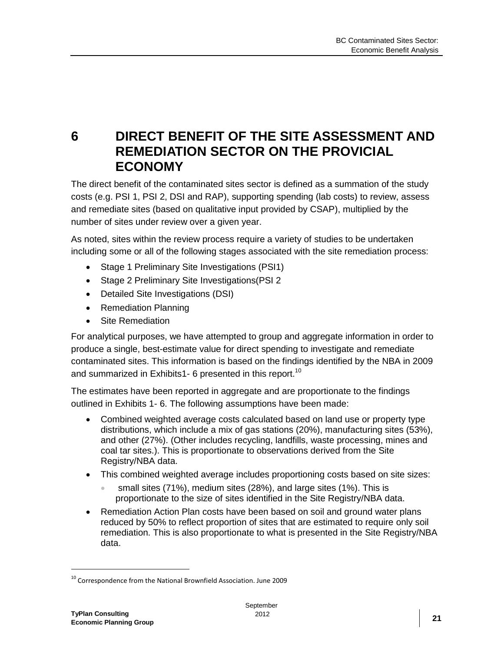## <span id="page-25-0"></span>**6 DIRECT BENEFIT OF THE SITE ASSESSMENT AND REMEDIATION SECTOR ON THE PROVICIAL ECONOMY**

The direct benefit of the contaminated sites sector is defined as a summation of the study costs (e.g. PSI 1, PSI 2, DSI and RAP), supporting spending (lab costs) to review, assess and remediate sites (based on qualitative input provided by CSAP), multiplied by the number of sites under review over a given year.

As noted, sites within the review process require a variety of studies to be undertaken including some or all of the following stages associated with the site remediation process:

- Stage 1 Preliminary Site Investigations (PSI1)
- Stage 2 Preliminary Site Investigations (PSI 2
- Detailed Site Investigations (DSI)
- Remediation Planning
- Site Remediation

For analytical purposes, we have attempted to group and aggregate information in order to produce a single, best-estimate value for direct spending to investigate and remediate contaminated sites. This information is based on the findings identified by the NBA in 2009 and summarized in Exhibits1- 6 presented in this report.<sup>10</sup>

The estimates have been reported in aggregate and are proportionate to the findings outlined in Exhibits 1- 6. The following assumptions have been made:

- Combined weighted average costs calculated based on land use or property type distributions, which include a mix of gas stations (20%), manufacturing sites (53%), and other (27%). (Other includes recycling, landfills, waste processing, mines and coal tar sites.). This is proportionate to observations derived from the Site Registry/NBA data.
- This combined weighted average includes proportioning costs based on site sizes:
	- small sites (71%), medium sites (28%), and large sites (1%). This is proportionate to the size of sites identified in the Site Registry/NBA data.
- Remediation Action Plan costs have been based on soil and ground water plans reduced by 50% to reflect proportion of sites that are estimated to require only soil remediation. This is also proportionate to what is presented in the Site Registry/NBA data.

<sup>&</sup>lt;sup>10</sup> Correspondence from the National Brownfield Association. June 2009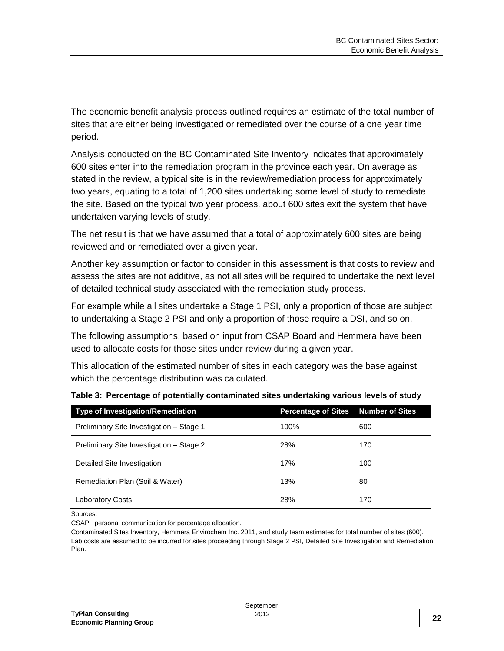The economic benefit analysis process outlined requires an estimate of the total number of sites that are either being investigated or remediated over the course of a one year time period.

Analysis conducted on the BC Contaminated Site Inventory indicates that approximately 600 sites enter into the remediation program in the province each year. On average as stated in the review, a typical site is in the review/remediation process for approximately two years, equating to a total of 1,200 sites undertaking some level of study to remediate the site. Based on the typical two year process, about 600 sites exit the system that have undertaken varying levels of study.

The net result is that we have assumed that a total of approximately 600 sites are being reviewed and or remediated over a given year.

Another key assumption or factor to consider in this assessment is that costs to review and assess the sites are not additive, as not all sites will be required to undertake the next level of detailed technical study associated with the remediation study process.

For example while all sites undertake a Stage 1 PSI, only a proportion of those are subject to undertaking a Stage 2 PSI and only a proportion of those require a DSI, and so on.

The following assumptions, based on input from CSAP Board and Hemmera have been used to allocate costs for those sites under review during a given year.

This allocation of the estimated number of sites in each category was the base against which the percentage distribution was calculated.

| <b>Type of Investigation/Remediation</b> | <b>Percentage of Sites Number of Sites</b> |     |
|------------------------------------------|--------------------------------------------|-----|
| Preliminary Site Investigation - Stage 1 | 100%                                       | 600 |
| Preliminary Site Investigation - Stage 2 | 28%                                        | 170 |
| Detailed Site Investigation              | 17%                                        | 100 |
| Remediation Plan (Soil & Water)          | 13%                                        | 80  |
| <b>Laboratory Costs</b>                  | 28%                                        | 170 |

<span id="page-26-0"></span>

|  | Table 3: Percentage of potentially contaminated sites undertaking various levels of study |  |  |  |
|--|-------------------------------------------------------------------------------------------|--|--|--|
|  |                                                                                           |  |  |  |

Sources:

CSAP, personal communication for percentage allocation.

Contaminated Sites Inventory, Hemmera Envirochem Inc. 2011, and study team estimates for total number of sites (600). Lab costs are assumed to be incurred for sites proceeding through Stage 2 PSI, Detailed Site Investigation and Remediation Plan.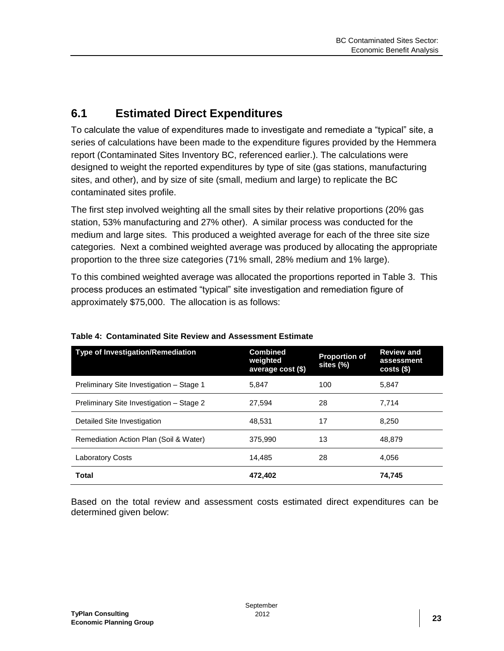#### <span id="page-27-0"></span>**6.1 Estimated Direct Expenditures**

To calculate the value of expenditures made to investigate and remediate a "typical" site, a series of calculations have been made to the expenditure figures provided by the Hemmera report (Contaminated Sites Inventory BC, referenced earlier.). The calculations were designed to weight the reported expenditures by type of site (gas stations, manufacturing sites, and other), and by size of site (small, medium and large) to replicate the BC contaminated sites profile.

The first step involved weighting all the small sites by their relative proportions (20% gas station, 53% manufacturing and 27% other). A similar process was conducted for the medium and large sites. This produced a weighted average for each of the three site size categories. Next a combined weighted average was produced by allocating the appropriate proportion to the three size categories (71% small, 28% medium and 1% large).

To this combined weighted average was allocated the proportions reported in Table 3. This process produces an estimated "typical" site investigation and remediation figure of approximately \$75,000. The allocation is as follows:

| <b>Type of Investigation/Remediation</b> | <b>Combined</b><br>weighted<br>average cost (\$) | <b>Proportion of</b><br>sites (%) | <b>Review and</b><br>assessment<br>$costs$ (\$) |
|------------------------------------------|--------------------------------------------------|-----------------------------------|-------------------------------------------------|
| Preliminary Site Investigation - Stage 1 | 5,847                                            | 100                               | 5,847                                           |
| Preliminary Site Investigation - Stage 2 | 27.594                                           | 28                                | 7.714                                           |
| Detailed Site Investigation              | 48.531                                           | 17                                | 8.250                                           |
| Remediation Action Plan (Soil & Water)   | 375.990                                          | 13                                | 48.879                                          |
| <b>Laboratory Costs</b>                  | 14.485                                           | 28                                | 4,056                                           |
| <b>Total</b>                             | 472.402                                          |                                   | 74,745                                          |

#### <span id="page-27-1"></span>**Table 4: Contaminated Site Review and Assessment Estimate**

Based on the total review and assessment costs estimated direct expenditures can be determined given below: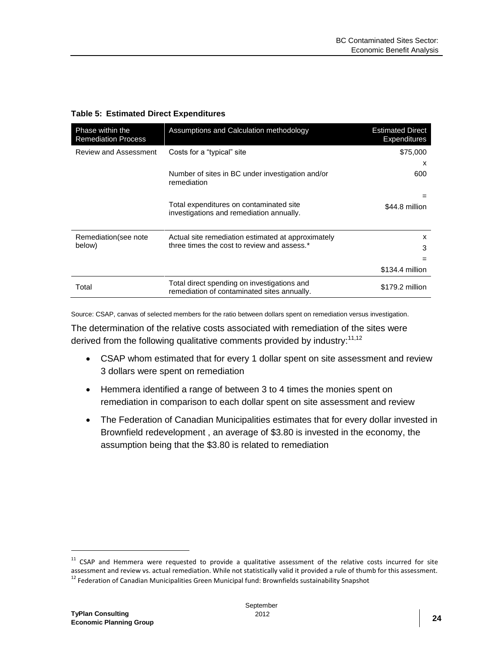<span id="page-28-0"></span>

|  |  |  | <b>Table 5: Estimated Direct Expenditures</b> |
|--|--|--|-----------------------------------------------|
|--|--|--|-----------------------------------------------|

| Phase within the<br><b>Remediation Process</b> | Assumptions and Calculation methodology                                                    | <b>Estimated Direct</b><br><b>Expenditures</b> |
|------------------------------------------------|--------------------------------------------------------------------------------------------|------------------------------------------------|
| Review and Assessment                          | Costs for a "typical" site                                                                 | \$75,000                                       |
|                                                |                                                                                            | x                                              |
|                                                | Number of sites in BC under investigation and/or<br>remediation                            | 600                                            |
|                                                |                                                                                            | =                                              |
|                                                | Total expenditures on contaminated site<br>investigations and remediation annually.        | \$44.8 million                                 |
| Remediation (see note                          | Actual site remediation estimated at approximately                                         | x                                              |
| below)                                         | three times the cost to review and assess.*                                                | 3                                              |
|                                                |                                                                                            | $=$                                            |
|                                                |                                                                                            | \$134.4 million                                |
| Total                                          | Total direct spending on investigations and<br>remediation of contaminated sites annually. | \$179.2 million                                |

Source: CSAP, canvas of selected members for the ratio between dollars spent on remediation versus investigation.

The determination of the relative costs associated with remediation of the sites were derived from the following qualitative comments provided by industry:<sup>11,12</sup>

- CSAP whom estimated that for every 1 dollar spent on site assessment and review 3 dollars were spent on remediation
- Hemmera identified a range of between 3 to 4 times the monies spent on remediation in comparison to each dollar spent on site assessment and review
- The Federation of Canadian Municipalities estimates that for every dollar invested in Brownfield redevelopment , an average of \$3.80 is invested in the economy, the assumption being that the \$3.80 is related to remediation

 $\overline{a}$ 

 $11$  CSAP and Hemmera were requested to provide a qualitative assessment of the relative costs incurred for site assessment and review vs. actual remediation. While not statistically valid it provided a rule of thumb for this assessment.

<sup>&</sup>lt;sup>12</sup> Federation of Canadian Municipalities Green Municipal fund: Brownfields sustainability Snapshot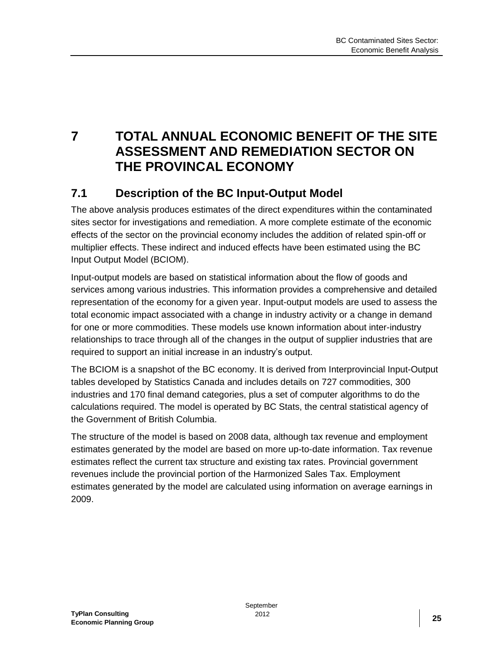<span id="page-29-0"></span>**7 TOTAL ANNUAL ECONOMIC BENEFIT OF THE SITE ASSESSMENT AND REMEDIATION SECTOR ON THE PROVINCAL ECONOMY**

### <span id="page-29-1"></span>**7.1 Description of the BC Input-Output Model**

The above analysis produces estimates of the direct expenditures within the contaminated sites sector for investigations and remediation. A more complete estimate of the economic effects of the sector on the provincial economy includes the addition of related spin-off or multiplier effects. These indirect and induced effects have been estimated using the BC Input Output Model (BCIOM).

Input-output models are based on statistical information about the flow of goods and services among various industries. This information provides a comprehensive and detailed representation of the economy for a given year. Input-output models are used to assess the total economic impact associated with a change in industry activity or a change in demand for one or more commodities. These models use known information about inter-industry relationships to trace through all of the changes in the output of supplier industries that are required to support an initial increase in an industry's output.

The BCIOM is a snapshot of the BC economy. It is derived from Interprovincial Input-Output tables developed by Statistics Canada and includes details on 727 commodities, 300 industries and 170 final demand categories, plus a set of computer algorithms to do the calculations required. The model is operated by BC Stats, the central statistical agency of the Government of British Columbia.

The structure of the model is based on 2008 data, although tax revenue and employment estimates generated by the model are based on more up-to-date information. Tax revenue estimates reflect the current tax structure and existing tax rates. Provincial government revenues include the provincial portion of the Harmonized Sales Tax. Employment estimates generated by the model are calculated using information on average earnings in 2009.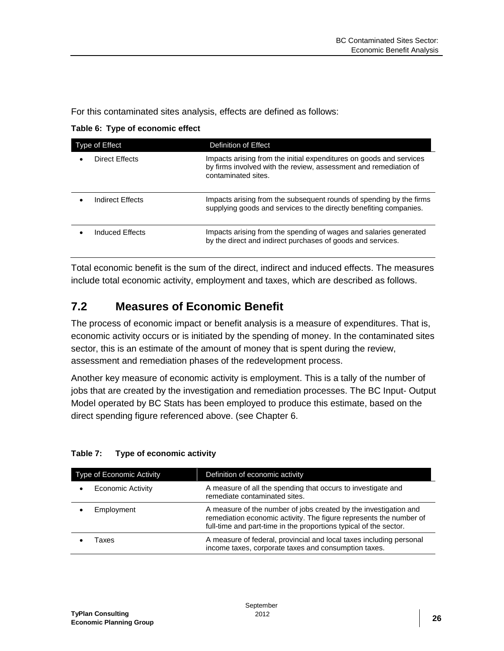For this contaminated sites analysis, effects are defined as follows:

<span id="page-30-1"></span>

|  |  | Table 6: Type of economic effect |  |
|--|--|----------------------------------|--|
|--|--|----------------------------------|--|

| Type of Effect   | Definition of Effect                                                                                                                                           |
|------------------|----------------------------------------------------------------------------------------------------------------------------------------------------------------|
| Direct Effects   | Impacts arising from the initial expenditures on goods and services<br>by firms involved with the review, assessment and remediation of<br>contaminated sites. |
| Indirect Effects | Impacts arising from the subsequent rounds of spending by the firms<br>supplying goods and services to the directly benefiting companies.                      |
| Induced Effects  | Impacts arising from the spending of wages and salaries generated<br>by the direct and indirect purchases of goods and services.                               |

Total economic benefit is the sum of the direct, indirect and induced effects. The measures include total economic activity, employment and taxes, which are described as follows.

#### <span id="page-30-0"></span>**7.2 Measures of Economic Benefit**

The process of economic impact or benefit analysis is a measure of expenditures. That is, economic activity occurs or is initiated by the spending of money. In the contaminated sites sector, this is an estimate of the amount of money that is spent during the review, assessment and remediation phases of the redevelopment process.

Another key measure of economic activity is employment. This is a tally of the number of jobs that are created by the investigation and remediation processes. The BC Input- Output Model operated by BC Stats has been employed to produce this estimate, based on the direct spending figure referenced above. (see Chapter 6.

| <b>Type of Economic Activity</b> | Definition of economic activity                                                                                                                                                                             |
|----------------------------------|-------------------------------------------------------------------------------------------------------------------------------------------------------------------------------------------------------------|
| <b>Economic Activity</b>         | A measure of all the spending that occurs to investigate and<br>remediate contaminated sites.                                                                                                               |
| Employment                       | A measure of the number of jobs created by the investigation and<br>remediation economic activity. The figure represents the number of<br>full-time and part-time in the proportions typical of the sector. |
| Taxes                            | A measure of federal, provincial and local taxes including personal<br>income taxes, corporate taxes and consumption taxes.                                                                                 |

#### <span id="page-30-2"></span>**Table 7: Type of economic activity**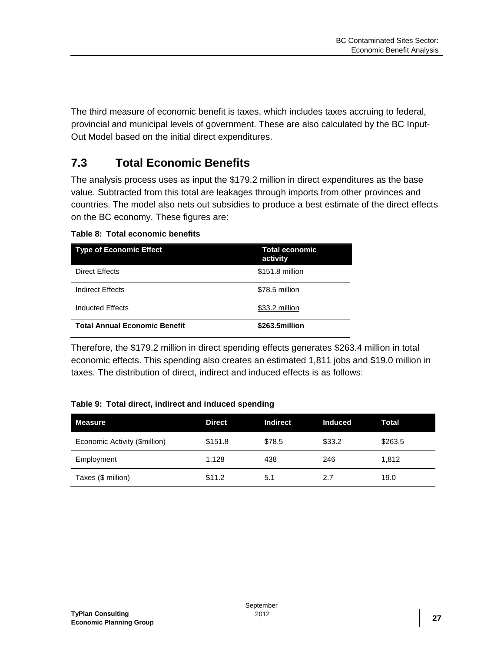The third measure of economic benefit is taxes, which includes taxes accruing to federal, provincial and municipal levels of government. These are also calculated by the BC Input-Out Model based on the initial direct expenditures.

#### <span id="page-31-0"></span>**7.3 Total Economic Benefits**

The analysis process uses as input the \$179.2 million in direct expenditures as the base value. Subtracted from this total are leakages through imports from other provinces and countries. The model also nets out subsidies to produce a best estimate of the direct effects on the BC economy. These figures are:

#### <span id="page-31-1"></span>**Table 8: Total economic benefits**

| <b>Type of Economic Effect</b>       | <b>Total economic</b><br>activity |
|--------------------------------------|-----------------------------------|
| Direct Effects                       | \$151.8 million                   |
| Indirect Effects                     | \$78.5 million                    |
| Inducted Effects                     | \$33.2 million                    |
| <b>Total Annual Economic Benefit</b> | \$263.5million                    |

Therefore, the \$179.2 million in direct spending effects generates \$263.4 million in total economic effects. This spending also creates an estimated 1,811 jobs and \$19.0 million in taxes. The distribution of direct, indirect and induced effects is as follows:

#### <span id="page-31-2"></span>**Table 9: Total direct, indirect and induced spending**

| <b>Measure</b>                | <b>Direct</b> | <b>Indirect</b> | <b>Induced</b> | Total   |
|-------------------------------|---------------|-----------------|----------------|---------|
| Economic Activity (\$million) | \$151.8       | \$78.5          | \$33.2         | \$263.5 |
| Employment                    | 1.128         | 438             | 246            | 1.812   |
| Taxes (\$ million)            | \$11.2        | 5.1             | 2.7            | 19.0    |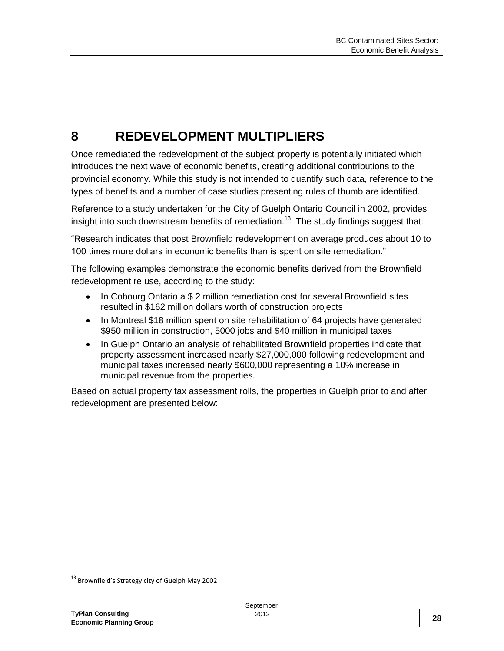## <span id="page-32-0"></span>**8 REDEVELOPMENT MULTIPLIERS**

Once remediated the redevelopment of the subject property is potentially initiated which introduces the next wave of economic benefits, creating additional contributions to the provincial economy. While this study is not intended to quantify such data, reference to the types of benefits and a number of case studies presenting rules of thumb are identified.

Reference to a study undertaken for the City of Guelph Ontario Council in 2002, provides insight into such downstream benefits of remediation.<sup>13</sup> The study findings suggest that:

"Research indicates that post Brownfield redevelopment on average produces about 10 to 100 times more dollars in economic benefits than is spent on site remediation."

The following examples demonstrate the economic benefits derived from the Brownfield redevelopment re use, according to the study:

- In Cobourg Ontario a \$ 2 million remediation cost for several Brownfield sites resulted in \$162 million dollars worth of construction projects
- In Montreal \$18 million spent on site rehabilitation of 64 projects have generated \$950 million in construction, 5000 jobs and \$40 million in municipal taxes
- In Guelph Ontario an analysis of rehabilitated Brownfield properties indicate that property assessment increased nearly \$27,000,000 following redevelopment and municipal taxes increased nearly \$600,000 representing a 10% increase in municipal revenue from the properties.

Based on actual property tax assessment rolls, the properties in Guelph prior to and after redevelopment are presented below:

<sup>&</sup>lt;sup>13</sup> Brownfield's Strategy city of Guelph May 2002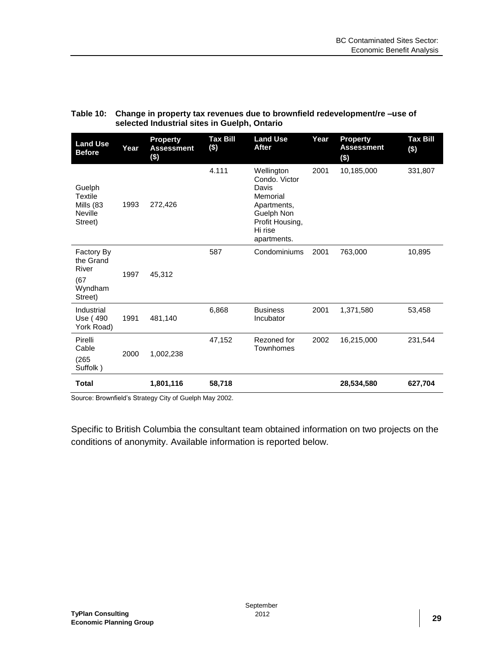| <b>Land Use</b><br><b>Before</b>                                   | Year | <b>Property</b><br><b>Assessment</b><br>$($ \$) | <b>Tax Bill</b><br>$($)$ | <b>Land Use</b><br><b>After</b>                                                                                            | Year | <b>Property</b><br><b>Assessment</b><br>$($ \$) | <b>Tax Bill</b><br>$($)$ |
|--------------------------------------------------------------------|------|-------------------------------------------------|--------------------------|----------------------------------------------------------------------------------------------------------------------------|------|-------------------------------------------------|--------------------------|
| Guelph<br><b>Textile</b><br>Mills (83<br><b>Neville</b><br>Street) | 1993 | 272,426                                         | 4.111                    | Wellington<br>Condo. Victor<br>Davis<br>Memorial<br>Apartments,<br>Guelph Non<br>Profit Housing,<br>Hi rise<br>apartments. | 2001 | 10,185,000                                      | 331,807                  |
| Factory By<br>the Grand<br>River<br>(67)<br>Wyndham<br>Street)     | 1997 | 45,312                                          | 587                      | Condominiums                                                                                                               | 2001 | 763,000                                         | 10,895                   |
| Industrial<br>Use (490<br>York Road)                               | 1991 | 481,140                                         | 6,868                    | <b>Business</b><br>Incubator                                                                                               | 2001 | 1,371,580                                       | 53,458                   |
| Pirelli<br>Cable<br>(265)<br>Suffolk)                              | 2000 | 1,002,238                                       | 47,152                   | Rezoned for<br>Townhomes                                                                                                   | 2002 | 16,215,000                                      | 231,544                  |
| <b>Total</b>                                                       |      | 1,801,116                                       | 58,718                   |                                                                                                                            |      | 28,534,580                                      | 627,704                  |

#### <span id="page-33-0"></span>**Table 10: Change in property tax revenues due to brownfield redevelopment/re –use of selected Industrial sites in Guelph, Ontario**

Source: Brownfield's Strategy City of Guelph May 2002.

Specific to British Columbia the consultant team obtained information on two projects on the conditions of anonymity. Available information is reported below.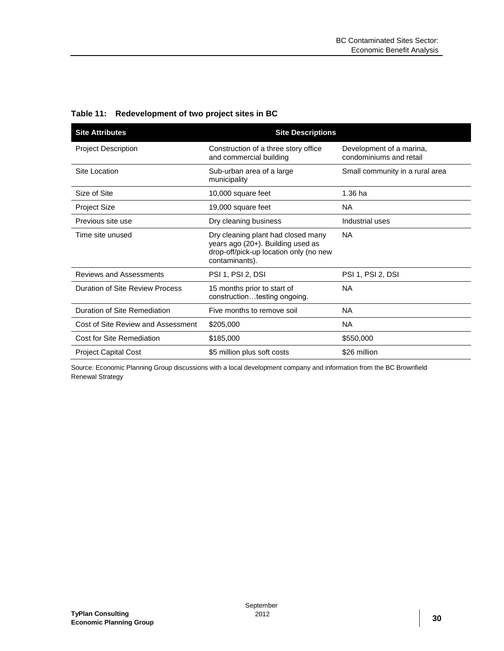| <b>Site Attributes</b>             | <b>Site Descriptions</b>                                                                                                            |                                                     |
|------------------------------------|-------------------------------------------------------------------------------------------------------------------------------------|-----------------------------------------------------|
| <b>Project Description</b>         | Construction of a three story office<br>and commercial building                                                                     | Development of a marina,<br>condominiums and retail |
| Site Location                      | Sub-urban area of a large<br>municipality                                                                                           | Small community in a rural area                     |
| Size of Site                       | 10,000 square feet                                                                                                                  | 1.36 ha                                             |
| <b>Project Size</b>                | 19,000 square feet                                                                                                                  | NA.                                                 |
| Previous site use                  | Dry cleaning business                                                                                                               | Industrial uses                                     |
| Time site unused                   | Dry cleaning plant had closed many<br>years ago (20+). Building used as<br>drop-off/pick-up location only (no new<br>contaminants). | NA.                                                 |
| <b>Reviews and Assessments</b>     | <b>PSI 1, PSI 2, DSI</b>                                                                                                            | <b>PSI 1, PSI 2, DSI</b>                            |
| Duration of Site Review Process    | 15 months prior to start of<br>constructiontesting ongoing.                                                                         | <b>NA</b>                                           |
| Duration of Site Remediation       | Five months to remove soil                                                                                                          | NA                                                  |
| Cost of Site Review and Assessment | \$205,000                                                                                                                           | <b>NA</b>                                           |
| Cost for Site Remediation          | \$185,000                                                                                                                           | \$550,000                                           |
| <b>Project Capital Cost</b>        | \$5 million plus soft costs                                                                                                         | \$26 million                                        |

<span id="page-34-0"></span>**Table 11: Redevelopment of two project sites in BC**

Source: Economic Planning Group discussions with a local development company and information from the BC Brownfield Renewal Strategy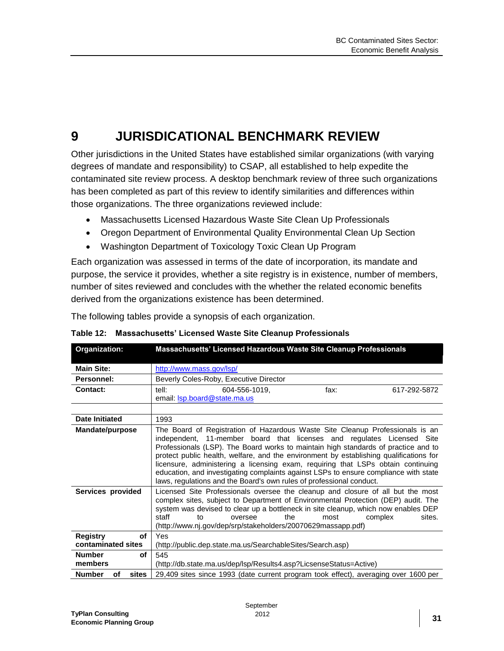## <span id="page-35-0"></span>**9 JURISDICATIONAL BENCHMARK REVIEW**

Other jurisdictions in the United States have established similar organizations (with varying degrees of mandate and responsibility) to CSAP, all established to help expedite the contaminated site review process. A desktop benchmark review of three such organizations has been completed as part of this review to identify similarities and differences within those organizations. The three organizations reviewed include:

- Massachusetts Licensed Hazardous Waste Site Clean Up Professionals
- Oregon Department of Environmental Quality Environmental Clean Up Section
- Washington Department of Toxicology Toxic Clean Up Program

Each organization was assessed in terms of the date of incorporation, its mandate and purpose, the service it provides, whether a site registry is in existence, number of members, number of sites reviewed and concludes with the whether the related economic benefits derived from the organizations existence has been determined.

The following tables provide a synopsis of each organization.

| Organization:                | Massachusetts' Licensed Hazardous Waste Site Cleanup Professionals                                                                                                                                                                                                                                                                                                                                                                                                                                                                                                                          |
|------------------------------|---------------------------------------------------------------------------------------------------------------------------------------------------------------------------------------------------------------------------------------------------------------------------------------------------------------------------------------------------------------------------------------------------------------------------------------------------------------------------------------------------------------------------------------------------------------------------------------------|
| <b>Main Site:</b>            | http://www.mass.gov/lsp/                                                                                                                                                                                                                                                                                                                                                                                                                                                                                                                                                                    |
| Personnel:                   | Beverly Coles-Roby, Executive Director                                                                                                                                                                                                                                                                                                                                                                                                                                                                                                                                                      |
| Contact:                     | tell:<br>604-556-1019.<br>617-292-5872<br>fax:                                                                                                                                                                                                                                                                                                                                                                                                                                                                                                                                              |
|                              | email: <b>sp.board@state.ma.us</b>                                                                                                                                                                                                                                                                                                                                                                                                                                                                                                                                                          |
|                              |                                                                                                                                                                                                                                                                                                                                                                                                                                                                                                                                                                                             |
| Date Initiated               | 1993                                                                                                                                                                                                                                                                                                                                                                                                                                                                                                                                                                                        |
| <b>Mandate/purpose</b>       | The Board of Registration of Hazardous Waste Site Cleanup Professionals is an<br>independent, 11-member board that licenses and regulates Licensed Site<br>Professionals (LSP). The Board works to maintain high standards of practice and to<br>protect public health, welfare, and the environment by establishing qualifications for<br>licensure, administering a licensing exam, requiring that LSPs obtain continuing<br>education, and investigating complaints against LSPs to ensure compliance with state<br>laws, regulations and the Board's own rules of professional conduct. |
| Services provided            | Licensed Site Professionals oversee the cleanup and closure of all but the most<br>complex sites, subject to Department of Environmental Protection (DEP) audit. The<br>system was devised to clear up a bottleneck in site cleanup, which now enables DEP<br>the<br>staff<br>oversee<br>complex<br>sites.<br>most<br>tο<br>(http://www.nj.gov/dep/srp/stakeholders/20070629massapp.pdf)                                                                                                                                                                                                    |
| <b>Registry</b><br>of        | Yes                                                                                                                                                                                                                                                                                                                                                                                                                                                                                                                                                                                         |
| contaminated sites           | (http://public.dep.state.ma.us/SearchableSites/Search.asp)                                                                                                                                                                                                                                                                                                                                                                                                                                                                                                                                  |
| <b>Number</b><br>of          | 545                                                                                                                                                                                                                                                                                                                                                                                                                                                                                                                                                                                         |
| members                      | (http://db.state.ma.us/dep/lsp/Results4.asp?LicsenseStatus=Active)                                                                                                                                                                                                                                                                                                                                                                                                                                                                                                                          |
| sites<br><b>Number</b><br>οf | 29,409 sites since 1993 (date current program took effect), averaging over 1600 per                                                                                                                                                                                                                                                                                                                                                                                                                                                                                                         |

<span id="page-35-1"></span>**Table 12: Massachusetts' Licensed Waste Site Cleanup Professionals**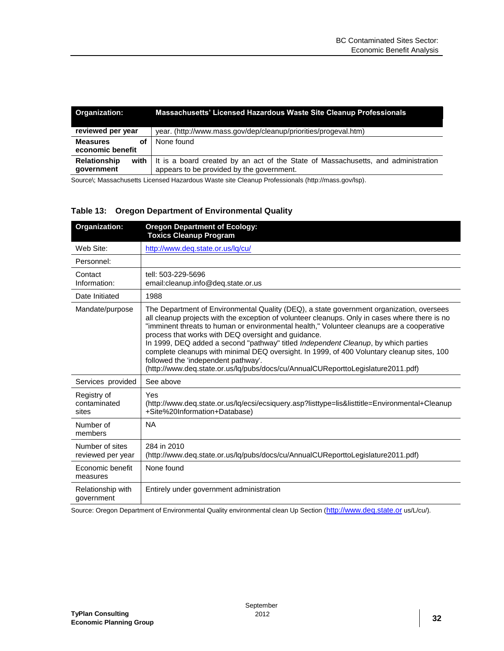| <b>Organization:</b>                        | Massachusetts' Licensed Hazardous Waste Site Cleanup Professionals                                                             |  |  |
|---------------------------------------------|--------------------------------------------------------------------------------------------------------------------------------|--|--|
| reviewed per year                           | year. (http://www.mass.gov/dep/cleanup/priorities/progeval.htm)                                                                |  |  |
| <b>Measures</b><br>οf<br>economic benefit   | None found                                                                                                                     |  |  |
| <b>Relationship</b><br>with I<br>government | It is a board created by an act of the State of Massachusetts, and administration<br>appears to be provided by the government. |  |  |

Source\; Massachusetts Licensed Hazardous Waste site Cleanup Professionals (http://mass.gov/lsp).

#### <span id="page-36-0"></span>**Table 13: Oregon Department of Environmental Quality**

| Organization:                        | <b>Oregon Department of Ecology:</b><br><b>Toxics Cleanup Program</b>                                                                                                                                                                                                                                                                                                                                                                                                                                                                                                                                                                                         |
|--------------------------------------|---------------------------------------------------------------------------------------------------------------------------------------------------------------------------------------------------------------------------------------------------------------------------------------------------------------------------------------------------------------------------------------------------------------------------------------------------------------------------------------------------------------------------------------------------------------------------------------------------------------------------------------------------------------|
| Web Site:                            | http://www.deq.state.or.us/lq/cu/                                                                                                                                                                                                                                                                                                                                                                                                                                                                                                                                                                                                                             |
| Personnel:                           |                                                                                                                                                                                                                                                                                                                                                                                                                                                                                                                                                                                                                                                               |
| Contact<br>Information:              | tell: 503-229-5696<br>email:cleanup.info@deq.state.or.us                                                                                                                                                                                                                                                                                                                                                                                                                                                                                                                                                                                                      |
| Date Initiated                       | 1988                                                                                                                                                                                                                                                                                                                                                                                                                                                                                                                                                                                                                                                          |
| Mandate/purpose                      | The Department of Environmental Quality (DEQ), a state government organization, oversees<br>all cleanup projects with the exception of volunteer cleanups. Only in cases where there is no<br>"imminent threats to human or environmental health," Volunteer cleanups are a cooperative<br>process that works with DEQ oversight and guidance.<br>In 1999, DEQ added a second "pathway" titled Independent Cleanup, by which parties<br>complete cleanups with minimal DEQ oversight. In 1999, of 400 Voluntary cleanup sites, 100<br>followed the 'independent pathway'.<br>(http://www.deq.state.or.us/lq/pubs/docs/cu/AnnualCUReporttoLegislature2011.pdf) |
| Services provided                    | See above                                                                                                                                                                                                                                                                                                                                                                                                                                                                                                                                                                                                                                                     |
| Registry of<br>contaminated<br>sites | Yes<br>(http://www.deq.state.or.us/lq/ecsi/ecsiquery.asp?listtype=lis&listtitle=Environmental+Cleanup<br>+Site%20Information+Database)                                                                                                                                                                                                                                                                                                                                                                                                                                                                                                                        |
| Number of<br>members                 | <b>NA</b>                                                                                                                                                                                                                                                                                                                                                                                                                                                                                                                                                                                                                                                     |
| Number of sites<br>reviewed per year | 284 in 2010<br>(http://www.deq.state.or.us/lq/pubs/docs/cu/AnnualCUReporttoLegislature2011.pdf)                                                                                                                                                                                                                                                                                                                                                                                                                                                                                                                                                               |
| Economic benefit<br>measures         | None found                                                                                                                                                                                                                                                                                                                                                                                                                                                                                                                                                                                                                                                    |
| Relationship with<br>government      | Entirely under government administration                                                                                                                                                                                                                                                                                                                                                                                                                                                                                                                                                                                                                      |

Source: Oregon Department of Environmental Quality environmental clean Up Section ([http://www.deq.state.or](http://www.deq.state.or/) us/L/cu/).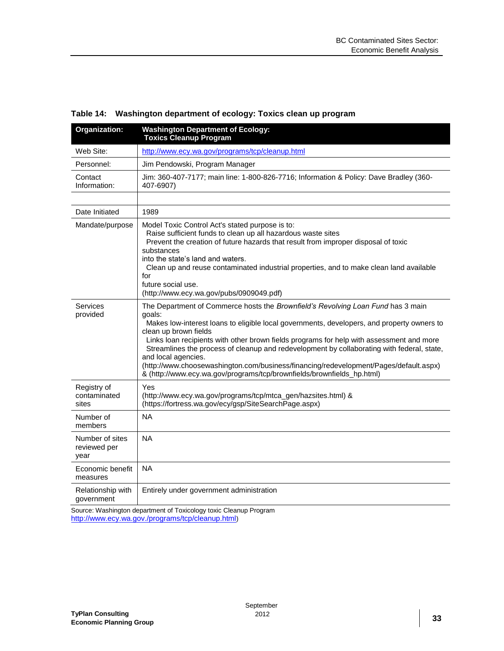| Organization:                           | <b>Washington Department of Ecology:</b><br><b>Toxics Cleanup Program</b>                                                                                                                                                                                                                                                                                                                                                                                                                                                                                                                             |
|-----------------------------------------|-------------------------------------------------------------------------------------------------------------------------------------------------------------------------------------------------------------------------------------------------------------------------------------------------------------------------------------------------------------------------------------------------------------------------------------------------------------------------------------------------------------------------------------------------------------------------------------------------------|
| Web Site:                               | http://www.ecy.wa.gov/programs/tcp/cleanup.html                                                                                                                                                                                                                                                                                                                                                                                                                                                                                                                                                       |
| Personnel:                              | Jim Pendowski, Program Manager                                                                                                                                                                                                                                                                                                                                                                                                                                                                                                                                                                        |
| Contact<br>Information:                 | Jim: 360-407-7177; main line: 1-800-826-7716; Information & Policy: Dave Bradley (360-<br>407-6907)                                                                                                                                                                                                                                                                                                                                                                                                                                                                                                   |
|                                         |                                                                                                                                                                                                                                                                                                                                                                                                                                                                                                                                                                                                       |
| Date Initiated                          | 1989                                                                                                                                                                                                                                                                                                                                                                                                                                                                                                                                                                                                  |
| Mandate/purpose                         | Model Toxic Control Act's stated purpose is to:<br>Raise sufficient funds to clean up all hazardous waste sites<br>Prevent the creation of future hazards that result from improper disposal of toxic<br>substances<br>into the state's land and waters.<br>Clean up and reuse contaminated industrial properties, and to make clean land available<br>for<br>future social use.<br>(http://www.ecy.wa.gov/pubs/0909049.pdf)                                                                                                                                                                          |
| Services<br>provided                    | The Department of Commerce hosts the Brownfield's Revolving Loan Fund has 3 main<br>qoals:<br>Makes low-interest loans to eligible local governments, developers, and property owners to<br>clean up brown fields<br>Links loan recipients with other brown fields programs for help with assessment and more<br>Streamlines the process of cleanup and redevelopment by collaborating with federal, state,<br>and local agencies.<br>(http://www.choosewashington.com/business/financing/redevelopment/Pages/default.aspx)<br>& (http://www.ecy.wa.gov/programs/tcp/brownfields/brownfields_hp.html) |
| Registry of<br>contaminated<br>sites    | Yes<br>(http://www.ecy.wa.gov/programs/tcp/mtca_gen/hazsites.html) &<br>(https://fortress.wa.gov/ecy/gsp/SiteSearchPage.aspx)                                                                                                                                                                                                                                                                                                                                                                                                                                                                         |
| Number of<br>members                    | <b>NA</b>                                                                                                                                                                                                                                                                                                                                                                                                                                                                                                                                                                                             |
| Number of sites<br>reviewed per<br>year | <b>NA</b>                                                                                                                                                                                                                                                                                                                                                                                                                                                                                                                                                                                             |
| Economic benefit<br>measures            | <b>NA</b>                                                                                                                                                                                                                                                                                                                                                                                                                                                                                                                                                                                             |
| Relationship with<br>government         | Entirely under government administration                                                                                                                                                                                                                                                                                                                                                                                                                                                                                                                                                              |

<span id="page-37-0"></span>**Table 14: Washington department of ecology: Toxics clean up program** 

Source: Washington department of Toxicology toxic Cleanup Program <http://www.ecy.wa.gov./programs/tcp/cleanup.html>)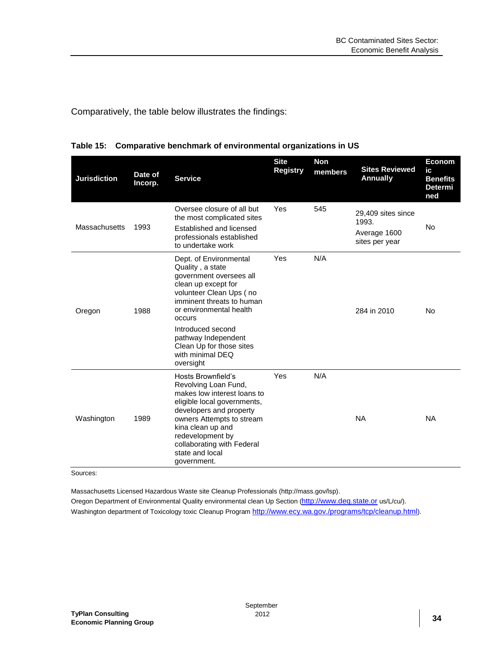Comparatively, the table below illustrates the findings:

| <b>Jurisdiction</b> | Date of<br>Incorp. | <b>Service</b>                                                                                                                                                                                                                                                                                     | <b>Site</b><br><b>Registry</b> | <b>Non</b><br>members | <b>Sites Reviewed</b><br><b>Annually</b>                      | <b>Econom</b><br>ic<br><b>Benefits</b><br><b>Determi</b><br>ned |
|---------------------|--------------------|----------------------------------------------------------------------------------------------------------------------------------------------------------------------------------------------------------------------------------------------------------------------------------------------------|--------------------------------|-----------------------|---------------------------------------------------------------|-----------------------------------------------------------------|
| Massachusetts       | 1993               | Oversee closure of all but<br>the most complicated sites<br>Established and licensed<br>professionals established<br>to undertake work                                                                                                                                                             | Yes                            | 545                   | 29,409 sites since<br>1993.<br>Average 1600<br>sites per year | <b>No</b>                                                       |
| Oregon              | 1988               | Dept. of Environmental<br>Quality, a state<br>government oversees all<br>clean up except for<br>volunteer Clean Ups (no<br>imminent threats to human<br>or environmental health<br>occurs<br>Introduced second<br>pathway Independent<br>Clean Up for those sites<br>with minimal DEQ<br>oversight | Yes                            | N/A                   | 284 in 2010                                                   | No                                                              |
| Washington          | 1989               | Hosts Brownfield's<br>Revolving Loan Fund,<br>makes low interest loans to<br>eligible local governments,<br>developers and property<br>owners Attempts to stream<br>kina clean up and<br>redevelopment by<br>collaborating with Federal<br>state and local<br>government.                          | Yes                            | N/A                   | <b>NA</b>                                                     | <b>NA</b>                                                       |

<span id="page-38-0"></span>**Table 15: Comparative benchmark of environmental organizations in US** 

Sources:

Massachusetts Licensed Hazardous Waste site Cleanup Professionals (http://mass.gov/lsp).

Oregon Department of Environmental Quality environmental clean Up Section ([http://www.deq.state.or](http://www.deq.state.or/) us/L/cu/). Washington department of Toxicology toxic Cleanup Program <http://www.ecy.wa.gov./programs/tcp/cleanup.html>).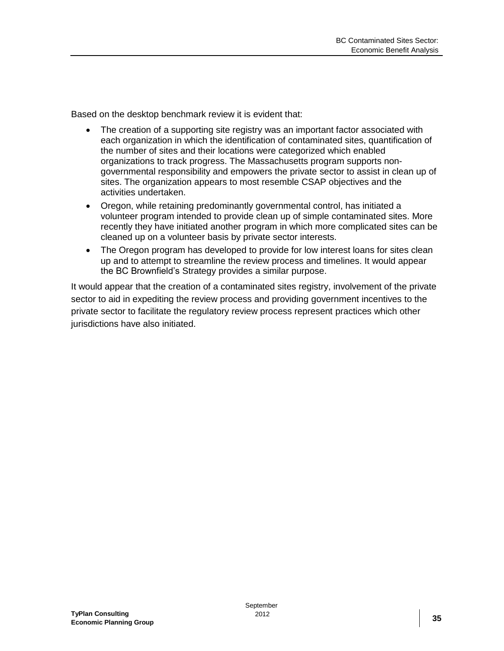Based on the desktop benchmark review it is evident that:

- The creation of a supporting site registry was an important factor associated with each organization in which the identification of contaminated sites, quantification of the number of sites and their locations were categorized which enabled organizations to track progress. The Massachusetts program supports nongovernmental responsibility and empowers the private sector to assist in clean up of sites. The organization appears to most resemble CSAP objectives and the activities undertaken.
- Oregon, while retaining predominantly governmental control, has initiated a volunteer program intended to provide clean up of simple contaminated sites. More recently they have initiated another program in which more complicated sites can be cleaned up on a volunteer basis by private sector interests.
- The Oregon program has developed to provide for low interest loans for sites clean up and to attempt to streamline the review process and timelines. It would appear the BC Brownfield's Strategy provides a similar purpose.

It would appear that the creation of a contaminated sites registry, involvement of the private sector to aid in expediting the review process and providing government incentives to the private sector to facilitate the regulatory review process represent practices which other jurisdictions have also initiated.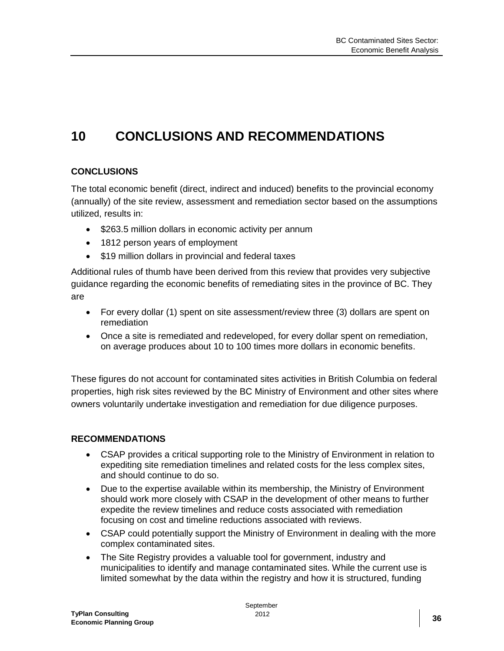## <span id="page-40-0"></span>**10 CONCLUSIONS AND RECOMMENDATIONS**

#### **CONCLUSIONS**

The total economic benefit (direct, indirect and induced) benefits to the provincial economy (annually) of the site review, assessment and remediation sector based on the assumptions utilized, results in:

- \$263.5 million dollars in economic activity per annum
- 1812 person years of employment
- \$19 million dollars in provincial and federal taxes

Additional rules of thumb have been derived from this review that provides very subjective guidance regarding the economic benefits of remediating sites in the province of BC. They are

- For every dollar (1) spent on site assessment/review three (3) dollars are spent on remediation
- Once a site is remediated and redeveloped, for every dollar spent on remediation, on average produces about 10 to 100 times more dollars in economic benefits.

These figures do not account for contaminated sites activities in British Columbia on federal properties, high risk sites reviewed by the BC Ministry of Environment and other sites where owners voluntarily undertake investigation and remediation for due diligence purposes.

#### **RECOMMENDATIONS**

- CSAP provides a critical supporting role to the Ministry of Environment in relation to expediting site remediation timelines and related costs for the less complex sites, and should continue to do so.
- Due to the expertise available within its membership, the Ministry of Environment should work more closely with CSAP in the development of other means to further expedite the review timelines and reduce costs associated with remediation focusing on cost and timeline reductions associated with reviews.
- CSAP could potentially support the Ministry of Environment in dealing with the more complex contaminated sites.
- The Site Registry provides a valuable tool for government, industry and municipalities to identify and manage contaminated sites. While the current use is limited somewhat by the data within the registry and how it is structured, funding